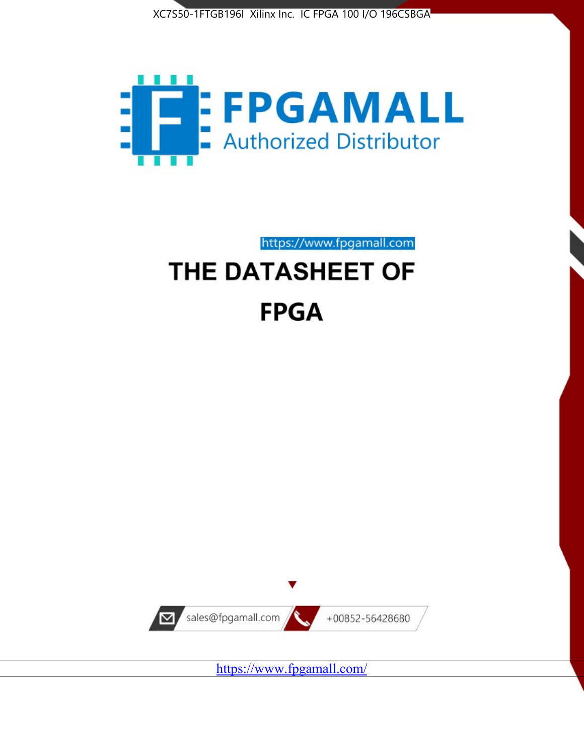



https://www.fpgamall.com

# THE DATASHEET OF **FPGA**



<https://www.fpgamall.com/>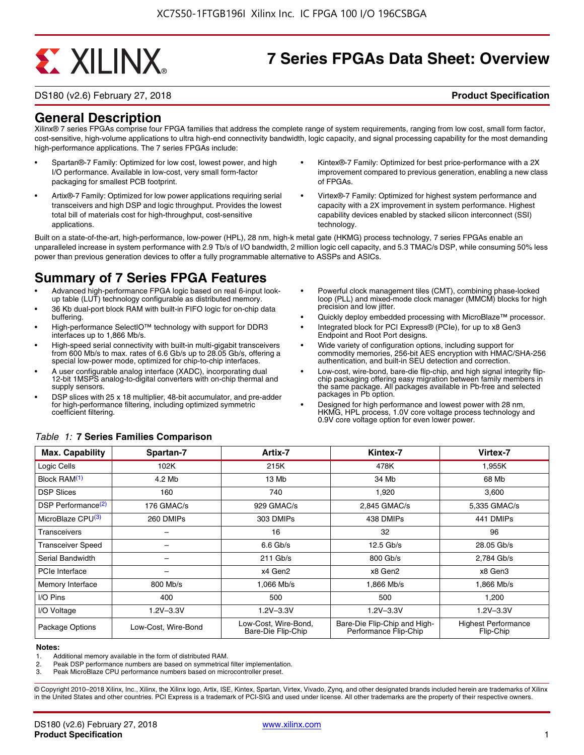# **EXALINX**

# **7 Series FPGAs Data Sheet: Overview**

DS180 (v2.6) February 27, 2018 **Product Specification**

### **General Description**

Xilinx® 7 series FPGAs comprise four FPGA families that address the complete range of system requirements, ranging from low cost, small form factor, cost-sensitive, high-volume applications to ultra high-end connectivity bandwidth, logic capacity, and signal processing capability for the most demanding high-performance applications. The 7 series FPGAs include:

- Spartan®-7 Family: Optimized for low cost, lowest power, and high I/O performance. Available in low-cost, very small form-factor packaging for smallest PCB footprint.
- Artix®-7 Family: Optimized for low power applications requiring serial transceivers and high DSP and logic throughput. Provides the lowest total bill of materials cost for high-throughput, cost-sensitive applications.
- Kintex®-7 Family: Optimized for best price-performance with a 2X improvement compared to previous generation, enabling a new class of FPGAs.
- Virtex®-7 Family: Optimized for highest system performance and capacity with a 2X improvement in system performance. Highest capability devices enabled by stacked silicon interconnect (SSI) technology

Built on a state-of-the-art, high-performance, low-power (HPL), 28 nm, high-k metal gate (HKMG) process technology, 7 series FPGAs enable an unparalleled increase in system performance with 2.9 Tb/s of I/O bandwidth, 2 million logic cell capacity, and 5.3 TMAC/s DSP, while consuming 50% less power than previous generation devices to offer a fully programmable alternative to ASSPs and ASICs.

# **Summary of 7 Series FPGA Features**

- Advanced high-performance FPGA logic based on real 6-input lookup table (LUT) technology configurable as distributed memory.
- 36 Kb dual-port block RAM with built-in FIFO logic for on-chip data buffering.
- High-performance SelectIO™ technology with support for DDR3 interfaces up to 1,866 Mb/s.
- High-speed serial connectivity with built-in multi-gigabit transceivers from 600 Mb/s to max. rates of 6.6 Gb/s up to 28.05 Gb/s, offering a special low-power mode, optimized for chip-to-chip interfaces.
- A user configurable analog interface (XADC), incorporating dual 12-bit 1MSPS analog-to-digital converters with on-chip thermal and supply sensors.
- DSP slices with 25 x 18 multiplier, 48-bit accumulator, and pre-adder for high-performance filtering, including optimized symmetric coefficient filtering.
- Powerful clock management tiles (CMT), combining phase-locked loop (PLL) and mixed-mode clock manager (MMCM) blocks for high precision and low jitter.
- Quickly deploy embedded processing with MicroBlaze™ processor.
- Integrated block for PCI Express® (PCIe), for up to x8 Gen3 Endpoint and Root Port designs.
- Wide variety of configuration options, including support for commodity memories, 256-bit AES encryption with HMAC/SHA-256 authentication, and built-in SEU detection and correction.
- Low-cost, wire-bond, bare-die flip-chip, and high signal integrity flipchip packaging offering easy migration between family members in the same package. All packages available in Pb-free and selected packages in Pb option.
- Designed for high performance and lowest power with 28 nm, HKMG, HPL process, 1.0V core voltage process technology and 0.9V core voltage option for even lower power.

| <b>Max. Capability</b>         | Spartan-7           | Artix-7                                    | Kintex-7                                              | Virtex-7                                |
|--------------------------------|---------------------|--------------------------------------------|-------------------------------------------------------|-----------------------------------------|
| Logic Cells                    | 102K                | 215K                                       | 478K                                                  | 1,955K                                  |
| Block RAM <sup>(1)</sup>       | 4.2 Mb              | 13 Mb                                      | 34 Mb                                                 | 68 Mb                                   |
| <b>DSP Slices</b>              | 160                 | 740                                        | 1,920                                                 | 3,600                                   |
| DSP Performance <sup>(2)</sup> | 176 GMAC/s          | 929 GMAC/s                                 | 2,845 GMAC/s                                          | 5,335 GMAC/s                            |
| MicroBlaze CPU <sup>(3)</sup>  | 260 DMIPs           | 303 DMIPs                                  | 438 DMIPs                                             | 441 DMIPs                               |
| Transceivers                   |                     | 16                                         | 32                                                    | 96                                      |
| <b>Transceiver Speed</b>       |                     | $6.6$ Gb/s                                 | $12.5$ Gb/s                                           | 28.05 Gb/s                              |
| Serial Bandwidth               |                     | $211$ Gb/s                                 | 800 Gb/s                                              | 2,784 Gb/s                              |
| <b>PCIe Interface</b>          | -                   | x4 Gen2                                    | x8 Gen2                                               | x8 Gen3                                 |
| Memory Interface               | 800 Mb/s            | 1.066 Mb/s                                 | 1.866 Mb/s                                            | 1.866 Mb/s                              |
| I/O Pins                       | 400                 | 500                                        | 500                                                   | 1,200                                   |
| I/O Voltage                    | $1.2V - 3.3V$       | $1.2V - 3.3V$                              | $1.2V - 3.3V$                                         | $1.2V - 3.3V$                           |
| Package Options                | Low-Cost. Wire-Bond | Low-Cost, Wire-Bond,<br>Bare-Die Flip-Chip | Bare-Die Flip-Chip and High-<br>Performance Flip-Chip | <b>Highest Performance</b><br>Flip-Chip |

#### *Table 1:* **7 Series Families Comparison**

#### **Notes:**

1. Additional memory available in the form of distributed RAM.

2. Peak DSP performance numbers are based on symmetrical filter implementation.<br>3. Peak MicroBlaze CPU performance numbers based on microcontroller preset.

Peak MicroBlaze CPU performance numbers based on microcontroller preset.

© Copyright 2010–2018 Xilinx, Inc., Xilinx, the Xilinx logo, Artix, ISE, Kintex, Spartan, Virtex, Vivado, Zynq, and other designated brands included herein are trademarks of Xilinx in the United States and other countries. PCI Express is a trademark of PCI-SIG and used under license. All other trademarks are the property of their respective owners.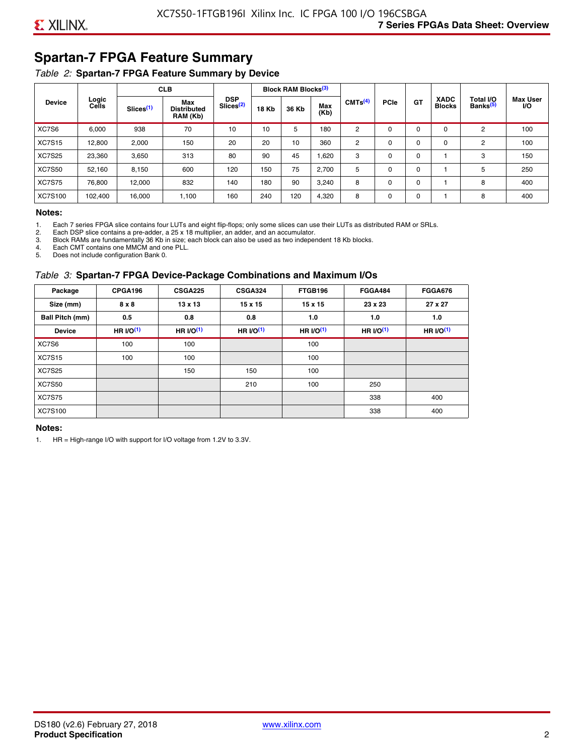# **Spartan-7 FPGA Feature Summary**

#### *Table 2:* **Spartan-7 FPGA Feature Summary by Device**

|               |                |                       | <b>CLB</b>                            |                                     |              | <b>Block RAM Blocks</b> <sup>(3)</sup> |             |                     |             |             |                              |                                   |                              |
|---------------|----------------|-----------------------|---------------------------------------|-------------------------------------|--------------|----------------------------------------|-------------|---------------------|-------------|-------------|------------------------------|-----------------------------------|------------------------------|
| <b>Device</b> | Logic<br>Cells | Slices <sup>(1)</sup> | Max<br><b>Distributed</b><br>RAM (Kb) | <b>DSP</b><br>Slices <sup>(2)</sup> | <b>18 Kb</b> | 36 Kb                                  | Max<br>(Kb) | CMTS <sup>(4)</sup> | <b>PCle</b> | GT          | <b>XADC</b><br><b>Blocks</b> | Total I/O<br>Banks <sup>(5)</sup> | <b>Max User</b><br><b>VO</b> |
| XC7S6         | 6,000          | 938                   | 70                                    | 10                                  | 10           | 5                                      | 180         | 2                   | $\Omega$    | $\Omega$    | $\Omega$                     | 2                                 | 100                          |
| <b>XC7S15</b> | 12,800         | 2,000                 | 150                                   | 20                                  | 20           | 10                                     | 360         | 2                   | 0           | $\mathbf 0$ | 0                            | 2                                 | 100                          |
| <b>XC7S25</b> | 23,360         | 3,650                 | 313                                   | 80                                  | 90           | 45                                     | 1,620       | 3                   | 0           | 0           |                              | 3                                 | 150                          |
| <b>XC7S50</b> | 52,160         | 8,150                 | 600                                   | 120                                 | 150          | 75                                     | 2,700       | 5                   | $\Omega$    | 0           |                              | 5                                 | 250                          |
| <b>XC7S75</b> | 76,800         | 12.000                | 832                                   | 140                                 | 180          | 90                                     | 3,240       | 8                   | 0           | 0           |                              | 8                                 | 400                          |
| XC7S100       | 102,400        | 16,000                | 1,100                                 | 160                                 | 240          | 120                                    | 4,320       | 8                   | 0           | $\mathbf 0$ |                              | 8                                 | 400                          |

#### **Notes:**

1. Each 7 series FPGA slice contains four LUTs and eight flip-flops; only some slices can use their LUTs as distributed RAM or SRLs.<br>2. Each DSP slice contains a pre-adder. a 25 x 18 multiplier. an adder. and an accumulato

2. Each DSP slice contains a pre-adder, a 25 x 18 multiplier, an adder, and an accumulator. 3. Block RAMs are fundamentally 36 Kb in size; each block can also be used as two independent 18 Kb blocks.

4. Each CMT contains one MMCM and one PLL.

5. Does not include configuration Bank 0.

#### *Table 3:* **Spartan-7 FPGA Device-Package Combinations and Maximum I/Os**

| Package         | CPGA196      | <b>CSGA225</b> | <b>CSGA324</b> | FTGB196    | <b>FGGA484</b> | <b>FGGA676</b> |
|-----------------|--------------|----------------|----------------|------------|----------------|----------------|
| Size (mm)       | $8 \times 8$ | $13 \times 13$ | $15 \times 15$ | 15 x 15    | 23 x 23        | 27 x 27        |
| Ball Pitch (mm) | 0.5          | 0.8            | 0.8            | 1.0        | 1.0            | 1.0            |
| <b>Device</b>   | HR $l$ (1)   | HR $UO(1)$     | HR $UO(1)$     | HR $l$ (1) | HR $UO(1)$     | HR $UO(1)$     |
| XC7S6           | 100          | 100            |                | 100        |                |                |
| <b>XC7S15</b>   | 100          | 100            |                | 100        |                |                |
| <b>XC7S25</b>   |              | 150            | 150            | 100        |                |                |
| <b>XC7S50</b>   |              |                | 210            | 100        | 250            |                |
| <b>XC7S75</b>   |              |                |                |            | 338            | 400            |
| <b>XC7S100</b>  |              |                |                |            | 338            | 400            |

#### **Notes:**

1. HR = High-range I/O with support for I/O voltage from 1.2V to 3.3V.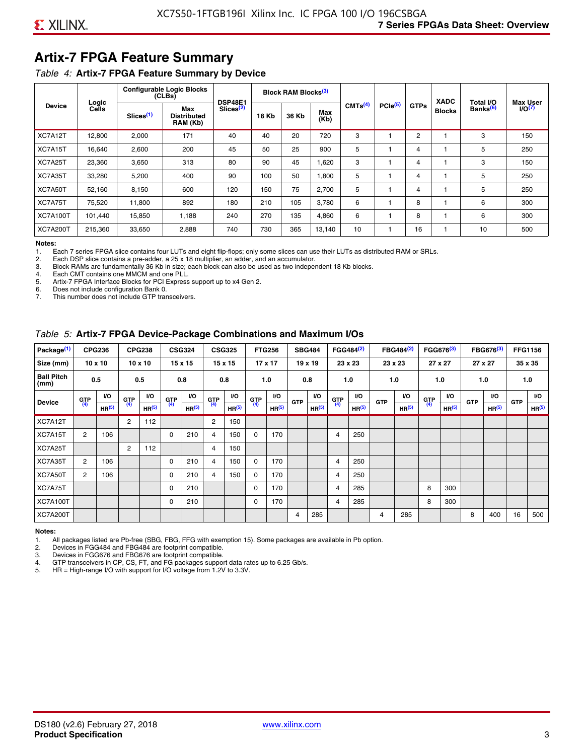# **Artix-7 FPGA Feature Summary**

#### *Table 4:* **Artix-7 FPGA Feature Summary by Device**

|                 |                |                       | <b>Configurable Logic Blocks</b><br>(CLBs) | <b>DSP48E1</b>        |              | Block RAM Blocks <sup>(3)</sup> |             |                     |                     |             | <b>XADC</b>   | Total I/O            | <b>Max User</b>    |
|-----------------|----------------|-----------------------|--------------------------------------------|-----------------------|--------------|---------------------------------|-------------|---------------------|---------------------|-------------|---------------|----------------------|--------------------|
| <b>Device</b>   | Logic<br>Cells | Slices <sup>(1)</sup> | Max<br><b>Distributed</b><br>RAM (Kb)      | Slices <sup>(2)</sup> | <b>18 Kb</b> | 36 Kb                           | Max<br>(Kb) | CMTS <sup>(4)</sup> | PCle <sup>(5)</sup> | <b>GTPs</b> | <b>Blocks</b> | Banks <sup>(6)</sup> | I/O <sub>(7)</sub> |
| XC7A12T         | 12,800         | 2,000                 | 171                                        | 40                    | 40           | 20                              | 720         | 3                   |                     | 2           |               | 3                    | 150                |
| XC7A15T         | 16,640         | 2,600                 | 200                                        | 45                    | 50           | 25                              | 900         | 5                   |                     | 4           |               | 5                    | 250                |
| XC7A25T         | 23,360         | 3,650                 | 313                                        | 80                    | 90           | 45                              | 1,620       | 3                   |                     | 4           |               | 3                    | 150                |
| XC7A35T         | 33,280         | 5,200                 | 400                                        | 90                    | 100          | 50                              | 1,800       | 5                   |                     | 4           |               | 5                    | 250                |
| XC7A50T         | 52,160         | 8,150                 | 600                                        | 120                   | 150          | 75                              | 2.700       | 5                   |                     | 4           |               | 5                    | 250                |
| XC7A75T         | 75,520         | 11,800                | 892                                        | 180                   | 210          | 105                             | 3,780       | 6                   |                     | 8           |               | 6                    | 300                |
| <b>XC7A100T</b> | 101.440        | 15,850                | 1.188                                      | 240                   | 270          | 135                             | 4,860       | 6                   |                     | 8           |               | 6                    | 300                |
| <b>XC7A200T</b> | 215,360        | 33,650                | 2,888                                      | 740                   | 730          | 365                             | 13,140      | 10                  |                     | 16          |               | 10                   | 500                |

**Notes:**  Each 7 series FPGA slice contains four LUTs and eight flip-flops; only some slices can use their LUTs as distributed RAM or SRLs.

2. Each DSP slice contains a pre-adder, a 25 x 18 multiplier, an adder, and an accumulator.

3. Block RAMs are fundamentally 36 Kb in size; each block can also be used as two independent 18 Kb blocks.

4. Each CMT contains one MMCM and one PLL.<br>5. Artix-7 FPGA Interface Blocks for PCI Express

5. Artix-7 FPGA Interface Blocks for PCI Express support up to x4 Gen 2.<br>6. Does not include configuration Bank 0.

6. Does not include configuration Bank 0.

This number does not include GTP transceivers.

#### *Table 5:* **Artix-7 FPGA Device-Package Combinations and Maximum I/Os**

| Package <sup>(1)</sup>    |            | <b>CPG236</b>     |                | <b>CPG238</b>  |            | <b>CSG324</b> |                | <b>CSG325</b>     |       | <b>FTG256</b>     |            | <b>SBG484</b>     |                | FGG484 <sup>(2)</sup> |                | FBG484 <sup>(2)</sup> |       | FGG676 <sup>(3)</sup> |            | FBG676 <sup>(3)</sup> |            | <b>FFG1156</b> |
|---------------------------|------------|-------------------|----------------|----------------|------------|---------------|----------------|-------------------|-------|-------------------|------------|-------------------|----------------|-----------------------|----------------|-----------------------|-------|-----------------------|------------|-----------------------|------------|----------------|
| Size (mm)                 |            | $10 \times 10$    |                | $10 \times 10$ |            | 15 x 15       |                | 15 x 15           |       | $17 \times 17$    |            | $19 \times 19$    |                | 23 x 23               |                | 23 x 23               |       | 27 x 27               |            | 27 x 27               |            | 35 x 35        |
| <b>Ball Pitch</b><br>(mm) |            | 0.5               |                | 0.5            |            | 0.8           | 0.8            |                   |       | 1.0               |            | 0.8               |                | 1.0                   |                | 1.0                   |       | 1.0                   |            | 1.0                   |            | 1.0            |
| <b>Device</b>             | <b>GTP</b> | <b>VO</b>         | <b>GTP</b>     | <b>VO</b>      | <b>GTP</b> | <b>VO</b>     | <b>GTP</b>     | <b>VO</b>         | G(TP) | VO.               | <b>GTP</b> | VO.               | G(TP)          | <b>VO</b>             | <b>GTP</b>     | <b>VO</b>             | G(TP) | <b>VO</b>             | <b>GTP</b> | <b>VO</b>             | <b>GTP</b> | <b>VO</b>      |
|                           | (4)        | HR <sup>(5)</sup> | (4)            | HR(5)          | (4)        | HP(5)         | (4)            | HR <sup>(5)</sup> |       | HR <sup>(5)</sup> |            | HR <sup>(5)</sup> |                | HR <sup>(5)</sup>     |                | HR <sup>(5)</sup>     |       | HR <sup>(5)</sup>     |            | HR <sup>(5)</sup>     |            | HR(5)          |
| XC7A12T                   |            |                   | $\overline{2}$ | 112            |            |               | $\overline{2}$ | 150               |       |                   |            |                   |                |                       |                |                       |       |                       |            |                       |            |                |
| XC7A15T                   | 2          | 106               |                |                | 0          | 210           | 4              | 150               | 0     | 170               |            |                   | $\overline{4}$ | 250                   |                |                       |       |                       |            |                       |            |                |
| XC7A25T                   |            |                   | 2              | 112            |            |               | 4              | 150               |       |                   |            |                   |                |                       |                |                       |       |                       |            |                       |            |                |
| XC7A35T                   | 2          | 106               |                |                | 0          | 210           | 4              | 150               | 0     | 170               |            |                   | 4              | 250                   |                |                       |       |                       |            |                       |            |                |
| XC7A50T                   | 2          | 106               |                |                | 0          | 210           | 4              | 150               | 0     | 170               |            |                   | 4              | 250                   |                |                       |       |                       |            |                       |            |                |
| XC7A75T                   |            |                   |                |                | 0          | 210           |                |                   | 0     | 170               |            |                   | 4              | 285                   |                |                       | 8     | 300                   |            |                       |            |                |
| <b>XC7A100T</b>           |            |                   |                |                | 0          | 210           |                |                   | 0     | 170               |            |                   | $\overline{4}$ | 285                   |                |                       | 8     | 300                   |            |                       |            |                |
| <b>XC7A200T</b>           |            |                   |                |                |            |               |                |                   |       |                   | 4          | 285               |                |                       | $\overline{4}$ | 285                   |       |                       | 8          | 400                   | 16         | 500            |

#### **Notes:**

1. All packages listed are Pb-free (SBG, FBG, FFG with exemption 15). Some packages are available in Pb option.

2. Devices in FGG484 and FBG484 are footprint compatible.

3. Devices in FGG676 and FBG676 are footprint compatible.

4. GTP transceivers in CP, CS, FT, and FG packages support data rates up to 6.25 Gb/s.<br>5. HR = High-range I/O with support for I/O voltage from 1.2V to 3.3V.

HR = High-range I/O with support for I/O voltage from 1.2V to 3.3V.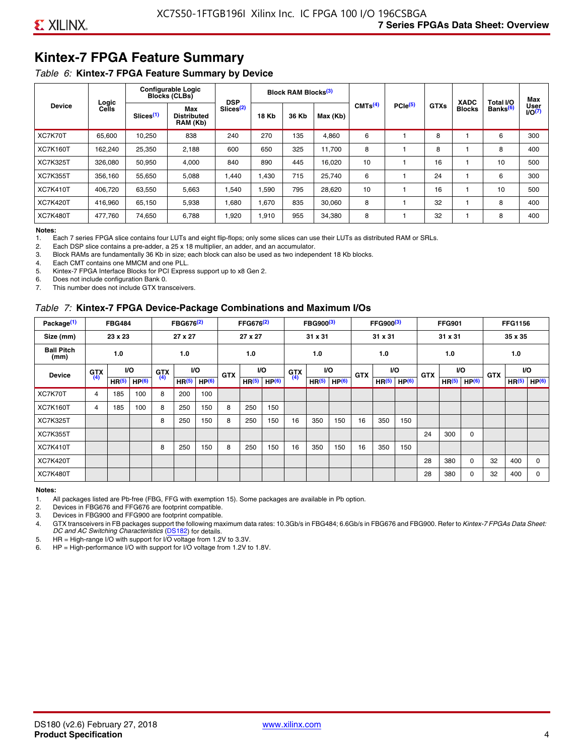# **Kintex-7 FPGA Feature Summary**

#### *Table 6:* **Kintex-7 FPGA Feature Summary by Device**

|                 |                |                       | <b>Configurable Logic</b><br><b>Blocks (CLBs)</b> | <b>DSP</b>            |              | <b>Block RAM Blocks</b> <sup>(3)</sup> |          |                     |              |             | <b>XADC</b>   | Total I/O            | Max                        |
|-----------------|----------------|-----------------------|---------------------------------------------------|-----------------------|--------------|----------------------------------------|----------|---------------------|--------------|-------------|---------------|----------------------|----------------------------|
| <b>Device</b>   | Logic<br>Cells | Slices <sup>(1)</sup> | Max<br>Distributed<br>RAM (Kb)                    | Slices <sup>(2)</sup> | <b>18 Kb</b> | 36 Kb                                  | Max (Kb) | CMTS <sup>(4)</sup> | $PCle^{(5)}$ | <b>GTXs</b> | <b>Blocks</b> | Banks <sup>(6)</sup> | User<br>1/0 <sup>(7)</sup> |
| XC7K70T         | 65.600         | 10.250                | 838                                               | 240                   | 270          | 135                                    | 4,860    | 6                   |              | 8           |               | 6                    | 300                        |
| <b>XC7K160T</b> | 162,240        | 25,350                | 2,188                                             | 600                   | 650          | 325                                    | 11.700   | 8                   |              | 8           |               | 8                    | 400                        |
| <b>XC7K325T</b> | 326.080        | 50,950                | 4.000                                             | 840                   | 890          | 445                                    | 16,020   | 10                  |              | 16          |               | 10                   | 500                        |
| <b>XC7K355T</b> | 356.160        | 55,650                | 5,088                                             | 1.440                 | 1.430        | 715                                    | 25,740   | 6                   |              | 24          |               | 6                    | 300                        |
| <b>XC7K410T</b> | 406.720        | 63,550                | 5,663                                             | .540                  | 1.590        | 795                                    | 28,620   | 10                  |              | 16          |               | 10                   | 500                        |
| <b>XC7K420T</b> | 416.960        | 65.150                | 5,938                                             | 1,680                 | 1.670        | 835                                    | 30,060   | 8                   |              | 32          |               | 8                    | 400                        |
| <b>XC7K480T</b> | 477,760        | 74,650                | 6,788                                             | 1,920                 | 1,910        | 955                                    | 34,380   | 8                   |              | 32          |               | 8                    | 400                        |

#### **Notes:**

1. Each 7 series FPGA slice contains four LUTs and eight flip-flops; only some slices can use their LUTs as distributed RAM or SRLs.<br>2. Each DSP slice contains a pre-adder, a 25 x 18 multiplier, an adder, and an accumulato

Each DSP slice contains a pre-adder, a 25 x 18 multiplier, an adder, and an accumulator.

3. Block RAMs are fundamentally 36 Kb in size; each block can also be used as two independent 18 Kb blocks.

4. Each CMT contains one MMCM and one PLL.

5. Kintex-7 FPGA Interface Blocks for PCI Express support up to x8 Gen 2.

6. Does not include configuration Bank 0.

7. This number does not include GTX transceivers.

#### *Table 7:* **Kintex-7 FPGA Device-Package Combinations and Maximum I/Os**

| Package <sup>(1)</sup>    |            | <b>FBG484</b>     |                   |            | FBG676 <sup>(2)</sup> |                   |            | FFG676 <sup>(2)</sup> |                   |            | FBG900 <sup>(3)</sup> |           |            | FFG900 <sup>(3)</sup> |                   |            | <b>FFG901</b>     |                   |            | <b>FFG1156</b>    |                   |
|---------------------------|------------|-------------------|-------------------|------------|-----------------------|-------------------|------------|-----------------------|-------------------|------------|-----------------------|-----------|------------|-----------------------|-------------------|------------|-------------------|-------------------|------------|-------------------|-------------------|
| Size (mm)                 |            | 23 x 23           |                   |            | 27 x 27               |                   |            | 27 x 27               |                   |            | 31 x 31               |           |            | 31 x 31               |                   |            | 31 x 31           |                   |            | 35 x 35           |                   |
| <b>Ball Pitch</b><br>(mm) |            | 1.0               |                   |            | 1.0                   |                   |            | 1.0                   |                   |            | 1.0                   |           |            | 1.0                   |                   |            | 1.0               |                   |            | 1.0               |                   |
| <b>Device</b>             | <b>GTX</b> |                   | VO.               | <b>GTX</b> | <b>VO</b>             |                   | <b>GTX</b> |                       | <b>VO</b>         | <b>GTX</b> |                       | <b>VO</b> | <b>GTX</b> | <b>VO</b>             |                   | <b>GTX</b> |                   | VO                | <b>GTX</b> | <b>VO</b>         |                   |
|                           | (4)        | HR <sup>(5)</sup> | HP <sup>(6)</sup> | (4)        | HR <sup>(5)</sup>     | HP <sup>(6)</sup> |            | HR <sup>(5)</sup>     | HP <sup>(6)</sup> | (4)        | HR <sup>(5)</sup>     | HP(6)     |            | HR <sup>(5)</sup>     | HP <sup>(6)</sup> |            | HR <sup>(5)</sup> | HP <sup>(6)</sup> |            | HR <sup>(5)</sup> | HP <sup>(6)</sup> |
| XC7K70T                   | 4          | 185               | 100               | 8          | 200                   | 100               |            |                       |                   |            |                       |           |            |                       |                   |            |                   |                   |            |                   |                   |
| <b>XC7K160T</b>           | 4          | 185               | 100               | 8          | 250                   | 150               | 8          | 250                   | 150               |            |                       |           |            |                       |                   |            |                   |                   |            |                   |                   |
| <b>XC7K325T</b>           |            |                   |                   | 8          | 250                   | 150               | 8          | 250                   | 150               | 16         | 350                   | 150       | 16         | 350                   | 150               |            |                   |                   |            |                   |                   |
| <b>XC7K355T</b>           |            |                   |                   |            |                       |                   |            |                       |                   |            |                       |           |            |                       |                   | 24         | 300               | 0                 |            |                   |                   |
| <b>XC7K410T</b>           |            |                   |                   | 8          | 250                   | 150               | 8          | 250                   | 150               | 16         | 350                   | 150       | 16         | 350                   | 150               |            |                   |                   |            |                   |                   |
| <b>XC7K420T</b>           |            |                   |                   |            |                       |                   |            |                       |                   |            |                       |           |            |                       |                   | 28         | 380               | $\Omega$          | 32         | 400               | $\Omega$          |
| <b>XC7K480T</b>           |            |                   |                   |            |                       |                   |            |                       |                   |            |                       |           |            |                       |                   | 28         | 380               | 0                 | 32         | 400               | $\Omega$          |

#### **Notes:**

1. All packages listed are Pb-free (FBG, FFG with exemption 15). Some packages are available in Pb option.

2. Devices in FBG676 and FFG676 are footprint compatible.

3. Devices in FBG900 and FFG900 are footprint compatible. 4. GTX transceivers in FB packages support the following maximum data rates: 10.3Gb/s in FBG484; 6.6Gb/s in FBG676 and FBG900. Refer to *Kintex-7 FPGAs Data Sheet: DC and AC Switching Characteristics* [\(DS182](https://www.xilinx.com/support/documentation/data_sheets/ds182_Kintex_7_Data_Sheet.pdf)) for details.

5. HR = High-range I/O with support for I/O voltage from 1.2V to 3.3V.

6. HP = High-performance I/O with support for I/O voltage from 1.2V to 1.8V.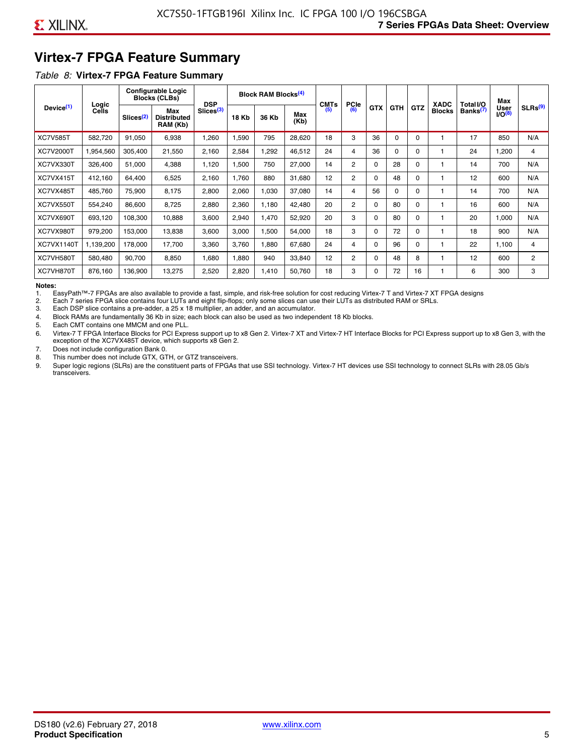# **Virtex-7 FPGA Feature Summary**

#### *Table 8:* **Virtex-7 FPGA Feature Summary**

|                       |                       |                       | <b>Configurable Logic</b><br><b>Blocks (CLBs)</b> | <b>DSP</b>            |       | <b>Block RAM Blocks<sup>(4)</sup></b> |             | <b>CMTs</b> | <b>PCIe</b>    |            |            |            | <b>XADC</b>   | Total I/O            | Max                        |                     |
|-----------------------|-----------------------|-----------------------|---------------------------------------------------|-----------------------|-------|---------------------------------------|-------------|-------------|----------------|------------|------------|------------|---------------|----------------------|----------------------------|---------------------|
| Device <sup>(1)</sup> | Logic<br><b>Cells</b> | Slices <sup>(2)</sup> | Max<br><b>Distributed</b><br>RAM (Kb)             | Slices <sup>(3)</sup> | 18 Kb | 36 Kb                                 | Max<br>(Kb) | (5)         | (6)            | <b>GTX</b> | <b>GTH</b> | <b>GTZ</b> | <b>Blocks</b> | Banks <sup>(7)</sup> | <b>User</b><br>$1/O^{(8)}$ | SLRs <sup>(9)</sup> |
| <b>XC7V585T</b>       | 582.720               | 91,050                | 6,938                                             | .260                  | .590  | 795                                   | 28,620      | 18          | 3              | 36         | 0          | $\Omega$   |               | 17                   | 850                        | N/A                 |
| <b>XC7V2000T</b>      | 1,954,560             | 305,400               | 21,550                                            | 2,160                 | 2,584 | ,292                                  | 46,512      | 24          | 4              | 36         | 0          | 0          |               | 24                   | .200                       | 4                   |
| XC7VX330T             | 326,400               | 51,000                | 4,388                                             | 1,120                 | .500  | 750                                   | 27,000      | 14          | $\overline{2}$ | 0          | 28         | 0          |               | 14                   | 700                        | N/A                 |
| XC7VX415T             | 412,160               | 64,400                | 6,525                                             | 2,160                 | 1,760 | 880                                   | 31,680      | 12          | $\overline{2}$ | $\Omega$   | 48         | $\Omega$   |               | 12                   | 600                        | N/A                 |
| XC7VX485T             | 485,760               | 75,900                | 8,175                                             | 2,800                 | 2,060 | 1,030                                 | 37,080      | 14          | 4              | 56         | $\Omega$   | 0          |               | 14                   | 700                        | N/A                 |
| XC7VX550T             | 554,240               | 86,600                | 8,725                                             | 2,880                 | 2,360 | 1,180                                 | 42,480      | 20          | 2              | 0          | 80         | 0          |               | 16                   | 600                        | N/A                 |
| XC7VX690T             | 693,120               | 108,300               | 10,888                                            | 3,600                 | 2,940 | 1,470                                 | 52,920      | 20          | 3              | $\Omega$   | 80         | 0          |               | 20                   | 1,000                      | N/A                 |
| XC7VX980T             | 979,200               | 153,000               | 13,838                                            | 3,600                 | 3,000 | 1,500                                 | 54,000      | 18          | 3              | $\Omega$   | 72         | 0          |               | 18                   | 900                        | N/A                 |
| <b>XC7VX1140T</b>     | 1,139,200             | 178,000               | 17.700                                            | 3,360                 | 3.760 | ,880                                  | 67,680      | 24          | 4              | $\Omega$   | 96         | 0          |               | 22                   | 1.100                      | 4                   |
| XC7VH580T             | 580,480               | 90,700                | 8,850                                             | <b>680</b>            | 1,880 | 940                                   | 33,840      | 12          | $\overline{c}$ | $\Omega$   | 48         | 8          |               | 12                   | 600                        | $\overline{2}$      |
| XC7VH870T             | 876,160               | 136,900               | 13,275                                            | 2,520                 | 2,820 | 1,410                                 | 50,760      | 18          | 3              | $\Omega$   | 72         | 16         |               | 6                    | 300                        | 3                   |

#### **Notes:**

1. EasyPath™-7 FPGAs are also available to provide a fast, simple, and risk-free solution for cost reducing Virtex-7 T and Virtex-7 XT FPGA designs

2. Each 7 series FPGA slice contains four LUTs and eight flip-flops; only some slices can use their LUTs as distributed RAM or SRLs.

Each DSP slice contains a pre-adder, a 25 x 18 multiplier, an adder, and an accumulator.

4. Block RAMs are fundamentally 36 Kb in size; each block can also be used as two independent 18 Kb blocks.

5. Each CMT contains one MMCM and one PLL.

6. Virtex-7 T FPGA Interface Blocks for PCI Express support up to x8 Gen 2. Virtex-7 XT and Virtex-7 HT Interface Blocks for PCI Express support up to x8 Gen 3, with the exception of the XC7VX485T device, which supports x8 Gen 2.

7. Does not include configuration Bank 0.

8. This number does not include GTX, GTH, or GTZ transceivers.

9. Super logic regions (SLRs) are the constituent parts of FPGAs that use SSI technology. Virtex-7 HT devices use SSI technology to connect SLRs with 28.05 Gb/s transceivers.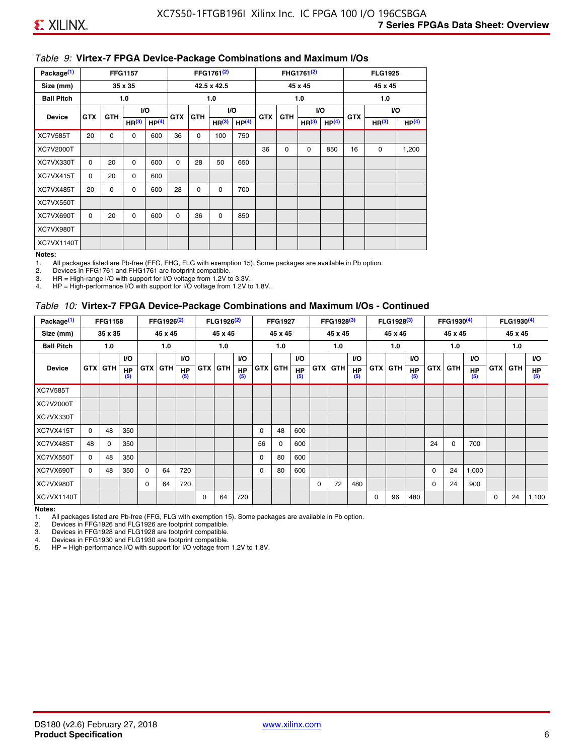#### *Table 9:* **Virtex-7 FPGA Device-Package Combinations and Maximum I/Os**

| Package <sup>(1)</sup> |            |             | <b>FFG1157</b>    |                   |            |            | FFG1761 <sup>(2)</sup> |                   |            |             | FHG1761 <sup>(2)</sup> |                   |            | <b>FLG1925</b>    |                   |
|------------------------|------------|-------------|-------------------|-------------------|------------|------------|------------------------|-------------------|------------|-------------|------------------------|-------------------|------------|-------------------|-------------------|
| Size (mm)              |            |             | 35 x 35           |                   |            |            | 42.5 x 42.5            |                   |            |             | 45 x 45                |                   |            | 45 x 45           |                   |
| <b>Ball Pitch</b>      |            |             | 1.0               |                   |            |            | 1.0                    |                   |            |             | 1.0                    |                   |            | 1.0               |                   |
| <b>Device</b>          | <b>GTX</b> | <b>GTH</b>  |                   | I/O               | <b>GTX</b> | <b>GTH</b> |                        | I/O               | <b>GTX</b> | <b>GTH</b>  | VO.                    |                   | <b>GTX</b> |                   | VO.               |
|                        |            |             | HR <sup>(3)</sup> | HP <sup>(4)</sup> |            |            | HR <sup>(3)</sup>      | HP <sup>(4)</sup> |            |             | HR <sup>(3)</sup>      | HP <sup>(4)</sup> |            | HR <sup>(3)</sup> | HP <sup>(4)</sup> |
| <b>XC7V585T</b>        | 20         | $\mathbf 0$ | 0                 | 600               | 36         | 0          | 100                    | 750               |            |             |                        |                   |            |                   |                   |
| XC7V2000T              |            |             |                   |                   |            |            |                        |                   | 36         | $\mathbf 0$ | 0                      | 850               | 16         | 0                 | 1,200             |
| XC7VX330T              | $\Omega$   | 20          | $\Omega$          | 600               | 0          | 28         | 50                     | 650               |            |             |                        |                   |            |                   |                   |
| XC7VX415T              | 0          | 20          | $\Omega$          | 600               |            |            |                        |                   |            |             |                        |                   |            |                   |                   |
| XC7VX485T              | 20         | 0           | 0                 | 600               | 28         | 0          | 0                      | 700               |            |             |                        |                   |            |                   |                   |
| XC7VX550T              |            |             |                   |                   |            |            |                        |                   |            |             |                        |                   |            |                   |                   |
| XC7VX690T              | $\Omega$   | 20          | $\Omega$          | 600               | $\Omega$   | 36         | 0                      | 850               |            |             |                        |                   |            |                   |                   |
| XC7VX980T              |            |             |                   |                   |            |            |                        |                   |            |             |                        |                   |            |                   |                   |
| XC7VX1140T             |            |             |                   |                   |            |            |                        |                   |            |             |                        |                   |            |                   |                   |

#### **Notes:**

1. All packages listed are Pb-free (FFG, FHG, FLG with exemption 15). Some packages are available in Pb option.

2. Devices in FFG1761 and FHG1761 are footprint compatible.<br>3. HR = High-range I/O with support for I/O voltage from 1.2V to

HR = High-range I/O with support for I/O voltage from 1.2V to 3.3V.

4. HP = High-performance I/O with support for I/O voltage from 1.2V to 1.8V.

#### *Table 10:* **Virtex-7 FPGA Device-Package Combinations and Maximum I/Os - Continued**

| Package <sup>(1)</sup> |          | <b>FFG1158</b> |                  |            | FFG1926 <sup>(2)</sup> |                  |            | FLG1926 <sup>(2)</sup> |                  |    | <b>FFG1927</b> |                  |            | FFG1928 <sup>(3)</sup> |                  |            | FLG1928 <sup>(3)</sup> |                  |            | FFG1930 <sup>(4)</sup> |           |            | $FLG1930^{(4)}$ |                  |
|------------------------|----------|----------------|------------------|------------|------------------------|------------------|------------|------------------------|------------------|----|----------------|------------------|------------|------------------------|------------------|------------|------------------------|------------------|------------|------------------------|-----------|------------|-----------------|------------------|
| Size (mm)              |          | 35 x 35        |                  |            | 45 x 45                |                  |            | 45 x 45                |                  |    | 45 x 45        |                  |            | 45 x 45                |                  |            | 45 x 45                |                  |            | 45 x 45                |           |            | 45 x 45         |                  |
| <b>Ball Pitch</b>      |          | 1.0            |                  |            | 1.0                    |                  |            | 1.0                    |                  |    | 1.0            |                  |            | 1.0                    |                  |            | 1.0                    |                  |            | 1.0                    |           |            | 1.0             |                  |
|                        |          |                | <b>VO</b>        |            |                        | <b>VO</b>        |            |                        | VO.              |    |                | <b>VO</b>        |            |                        | <b>VO</b>        |            |                        | <b>VO</b>        |            |                        | <b>VO</b> |            |                 | VO.              |
| <b>Device</b>          |          | <b>GTX GTH</b> | <b>HP</b><br>(5) | <b>GTX</b> | <b>GTH</b>             | <b>HP</b><br>(5) | <b>GTX</b> | <b>GTH</b>             | <b>HP</b><br>(5) |    | <b>GTX GTH</b> | <b>HP</b><br>(5) | <b>GTX</b> | <b>GTH</b>             | <b>HP</b><br>(5) | <b>GTX</b> | <b>GTH</b>             | <b>HP</b><br>(5) | <b>GTX</b> | GTH                    | HP<br>(5) | <b>GTX</b> | GTH             | <b>HP</b><br>(5) |
| <b>XC7V585T</b>        |          |                |                  |            |                        |                  |            |                        |                  |    |                |                  |            |                        |                  |            |                        |                  |            |                        |           |            |                 |                  |
| XC7V2000T              |          |                |                  |            |                        |                  |            |                        |                  |    |                |                  |            |                        |                  |            |                        |                  |            |                        |           |            |                 |                  |
| XC7VX330T              |          |                |                  |            |                        |                  |            |                        |                  |    |                |                  |            |                        |                  |            |                        |                  |            |                        |           |            |                 |                  |
| XC7VX415T              | $\Omega$ | 48             | 350              |            |                        |                  |            |                        |                  | 0  | 48             | 600              |            |                        |                  |            |                        |                  |            |                        |           |            |                 |                  |
| XC7VX485T              | 48       | 0              | 350              |            |                        |                  |            |                        |                  | 56 | 0              | 600              |            |                        |                  |            |                        |                  | 24         | 0                      | 700       |            |                 |                  |
| XC7VX550T              | 0        | 48             | 350              |            |                        |                  |            |                        |                  | 0  | 80             | 600              |            |                        |                  |            |                        |                  |            |                        |           |            |                 |                  |
| XC7VX690T              | $\Omega$ | 48             | 350              | $\Omega$   | 64                     | 720              |            |                        |                  | 0  | 80             | 600              |            |                        |                  |            |                        |                  | 0          | 24                     | 1,000     |            |                 |                  |
| XC7VX980T              |          |                |                  | $\Omega$   | 64                     | 720              |            |                        |                  |    |                |                  | $\Omega$   | 72                     | 480              |            |                        |                  | 0          | 24                     | 900       |            |                 |                  |
| XC7VX1140T             |          |                |                  |            |                        |                  | $\Omega$   | 64                     | 720              |    |                |                  |            |                        |                  | $\Omega$   | 96                     | 480              |            |                        |           | 0          | 24              | 1,100            |

**Notes:** 

1. All packages listed are Pb-free (FFG, FLG with exemption 15). Some packages are available in Pb option.<br>2. Devices in FFG1926 and FLG1926 are footprint compatible.

2. Devices in FFG1926 and FLG1926 are footprint compatible.

3. Devices in FFG1928 and FLG1928 are footprint compatible.

4. Devices in FFG1930 and FLG1930 are footprint compatible.<br>5. HP = High-performance I/O with support for I/O voltage from HP = High-performance I/O with support for I/O voltage from 1.2V to 1.8V.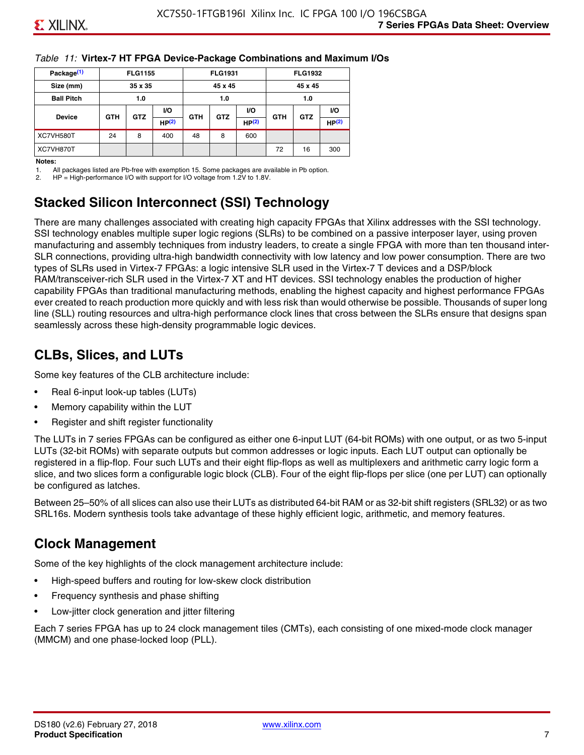#### *Table 11:* **Virtex-7 HT FPGA Device-Package Combinations and Maximum I/Os**

| Package <sup>(1)</sup> |            | <b>FLG1155</b> |       |            | <b>FLG1931</b> |           |            | <b>FLG1932</b> |                   |
|------------------------|------------|----------------|-------|------------|----------------|-----------|------------|----------------|-------------------|
| Size (mm)              |            | 35 x 35        |       |            | 45 x 45        |           |            | 45 x 45        |                   |
| <b>Ball Pitch</b>      |            | 1.0            |       |            | 1.0            |           |            | 1.0            |                   |
|                        |            |                | VO.   |            |                | <b>VO</b> |            |                | VO.               |
| <b>Device</b>          | <b>GTH</b> | <b>GTZ</b>     | HP(2) | <b>GTH</b> | <b>GTZ</b>     | HP(2)     | <b>GTH</b> | <b>GTZ</b>     | HP <sup>(2)</sup> |
| XC7VH580T              | 24         | 8              | 400   | 48         | 8              | 600       |            |                |                   |
| XC7VH870T              |            |                |       |            |                |           | 72         | 16             | 300               |

#### **Notes:**

1. All packages listed are Pb-free with exemption 15. Some packages are available in Pb option.

2. HP = High-performance I/O with support for I/O voltage from 1.2V to 1.8V.

# **Stacked Silicon Interconnect (SSI) Technology**

There are many challenges associated with creating high capacity FPGAs that Xilinx addresses with the SSI technology. SSI technology enables multiple super logic regions (SLRs) to be combined on a passive interposer layer, using proven manufacturing and assembly techniques from industry leaders, to create a single FPGA with more than ten thousand inter-SLR connections, providing ultra-high bandwidth connectivity with low latency and low power consumption. There are two types of SLRs used in Virtex-7 FPGAs: a logic intensive SLR used in the Virtex-7 T devices and a DSP/block RAM/transceiver-rich SLR used in the Virtex-7 XT and HT devices. SSI technology enables the production of higher capability FPGAs than traditional manufacturing methods, enabling the highest capacity and highest performance FPGAs ever created to reach production more quickly and with less risk than would otherwise be possible. Thousands of super long line (SLL) routing resources and ultra-high performance clock lines that cross between the SLRs ensure that designs span seamlessly across these high-density programmable logic devices.

# **CLBs, Slices, and LUTs**

Some key features of the CLB architecture include:

- Real 6-input look-up tables (LUTs)
- Memory capability within the LUT
- Register and shift register functionality

The LUTs in 7 series FPGAs can be configured as either one 6-input LUT (64-bit ROMs) with one output, or as two 5-input LUTs (32-bit ROMs) with separate outputs but common addresses or logic inputs. Each LUT output can optionally be registered in a flip-flop. Four such LUTs and their eight flip-flops as well as multiplexers and arithmetic carry logic form a slice, and two slices form a configurable logic block (CLB). Four of the eight flip-flops per slice (one per LUT) can optionally be configured as latches.

Between 25–50% of all slices can also use their LUTs as distributed 64-bit RAM or as 32-bit shift registers (SRL32) or as two SRL16s. Modern synthesis tools take advantage of these highly efficient logic, arithmetic, and memory features.

# **Clock Management**

Some of the key highlights of the clock management architecture include:

- High-speed buffers and routing for low-skew clock distribution
- Frequency synthesis and phase shifting
- Low-jitter clock generation and jitter filtering

Each 7 series FPGA has up to 24 clock management tiles (CMTs), each consisting of one mixed-mode clock manager (MMCM) and one phase-locked loop (PLL).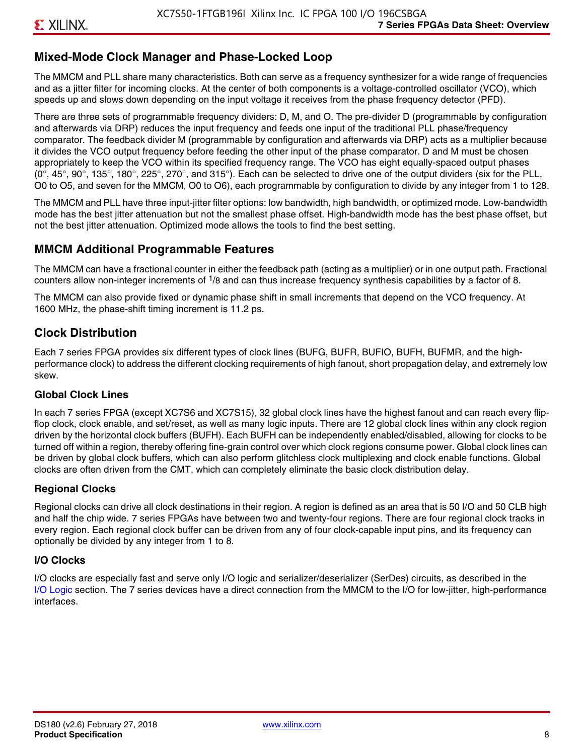#### **Mixed-Mode Clock Manager and Phase-Locked Loop**

The MMCM and PLL share many characteristics. Both can serve as a frequency synthesizer for a wide range of frequencies and as a jitter filter for incoming clocks. At the center of both components is a voltage-controlled oscillator (VCO), which speeds up and slows down depending on the input voltage it receives from the phase frequency detector (PFD).

There are three sets of programmable frequency dividers: D, M, and O. The pre-divider D (programmable by configuration and afterwards via DRP) reduces the input frequency and feeds one input of the traditional PLL phase/frequency comparator. The feedback divider M (programmable by configuration and afterwards via DRP) acts as a multiplier because it divides the VCO output frequency before feeding the other input of the phase comparator. D and M must be chosen appropriately to keep the VCO within its specified frequency range. The VCO has eight equally-spaced output phases  $(0^\circ, 45^\circ, 90^\circ, 135^\circ, 180^\circ, 225^\circ, 270^\circ,$  and  $315^\circ$ ). Each can be selected to drive one of the output dividers (six for the PLL, O0 to O5, and seven for the MMCM, O0 to O6), each programmable by configuration to divide by any integer from 1 to 128.

The MMCM and PLL have three input-jitter filter options: low bandwidth, high bandwidth, or optimized mode. Low-bandwidth mode has the best jitter attenuation but not the smallest phase offset. High-bandwidth mode has the best phase offset, but not the best jitter attenuation. Optimized mode allows the tools to find the best setting.

#### **MMCM Additional Programmable Features**

The MMCM can have a fractional counter in either the feedback path (acting as a multiplier) or in one output path. Fractional counters allow non-integer increments of  $1/8$  and can thus increase frequency synthesis capabilities by a factor of 8.

The MMCM can also provide fixed or dynamic phase shift in small increments that depend on the VCO frequency. At 1600 MHz, the phase-shift timing increment is 11.2 ps.

#### **Clock Distribution**

Each 7 series FPGA provides six different types of clock lines (BUFG, BUFR, BUFIO, BUFH, BUFMR, and the highperformance clock) to address the different clocking requirements of high fanout, short propagation delay, and extremely low skew.

#### **Global Clock Lines**

In each 7 series FPGA (except XC7S6 and XC7S15), 32 global clock lines have the highest fanout and can reach every flipflop clock, clock enable, and set/reset, as well as many logic inputs. There are 12 global clock lines within any clock region driven by the horizontal clock buffers (BUFH). Each BUFH can be independently enabled/disabled, allowing for clocks to be turned off within a region, thereby offering fine-grain control over which clock regions consume power. Global clock lines can be driven by global clock buffers, which can also perform glitchless clock multiplexing and clock enable functions. Global clocks are often driven from the CMT, which can completely eliminate the basic clock distribution delay.

#### **Regional Clocks**

Regional clocks can drive all clock destinations in their region. A region is defined as an area that is 50 I/O and 50 CLB high and half the chip wide. 7 series FPGAs have between two and twenty-four regions. There are four regional clock tracks in every region. Each regional clock buffer can be driven from any of four clock-capable input pins, and its frequency can optionally be divided by any integer from 1 to 8.

#### **I/O Clocks**

I/O clocks are especially fast and serve only I/O logic and serializer/deserializer (SerDes) circuits, as described in the I/O Logic section. The 7 series devices have a direct connection from the MMCM to the I/O for low-jitter, high-performance interfaces.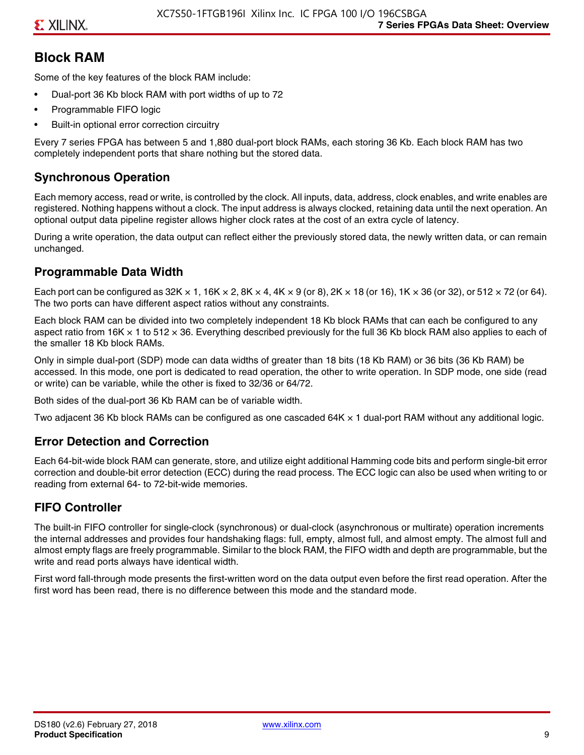# **Block RAM**

Some of the key features of the block RAM include:

- Dual-port 36 Kb block RAM with port widths of up to 72
- Programmable FIFO logic
- Built-in optional error correction circuitry

Every 7 series FPGA has between 5 and 1,880 dual-port block RAMs, each storing 36 Kb. Each block RAM has two completely independent ports that share nothing but the stored data.

### **Synchronous Operation**

Each memory access, read or write, is controlled by the clock. All inputs, data, address, clock enables, and write enables are registered. Nothing happens without a clock. The input address is always clocked, retaining data until the next operation. An optional output data pipeline register allows higher clock rates at the cost of an extra cycle of latency.

During a write operation, the data output can reflect either the previously stored data, the newly written data, or can remain unchanged.

#### **Programmable Data Width**

Each port can be configured as 32K  $\times$  1, 16K  $\times$  2, 8K  $\times$  4, 4K  $\times$  9 (or 8), 2K  $\times$  18 (or 16), 1K  $\times$  36 (or 32), or 512  $\times$  72 (or 64). The two ports can have different aspect ratios without any constraints.

Each block RAM can be divided into two completely independent 18 Kb block RAMs that can each be configured to any aspect ratio from 16K  $\times$  1 to 512  $\times$  36. Everything described previously for the full 36 Kb block RAM also applies to each of the smaller 18 Kb block RAMs.

Only in simple dual-port (SDP) mode can data widths of greater than 18 bits (18 Kb RAM) or 36 bits (36 Kb RAM) be accessed. In this mode, one port is dedicated to read operation, the other to write operation. In SDP mode, one side (read or write) can be variable, while the other is fixed to 32/36 or 64/72.

Both sides of the dual-port 36 Kb RAM can be of variable width.

Two adjacent 36 Kb block RAMs can be configured as one cascaded 64K × 1 dual-port RAM without any additional logic.

#### **Error Detection and Correction**

Each 64-bit-wide block RAM can generate, store, and utilize eight additional Hamming code bits and perform single-bit error correction and double-bit error detection (ECC) during the read process. The ECC logic can also be used when writing to or reading from external 64- to 72-bit-wide memories.

#### **FIFO Controller**

The built-in FIFO controller for single-clock (synchronous) or dual-clock (asynchronous or multirate) operation increments the internal addresses and provides four handshaking flags: full, empty, almost full, and almost empty. The almost full and almost empty flags are freely programmable. Similar to the block RAM, the FIFO width and depth are programmable, but the write and read ports always have identical width.

First word fall-through mode presents the first-written word on the data output even before the first read operation. After the first word has been read, there is no difference between this mode and the standard mode.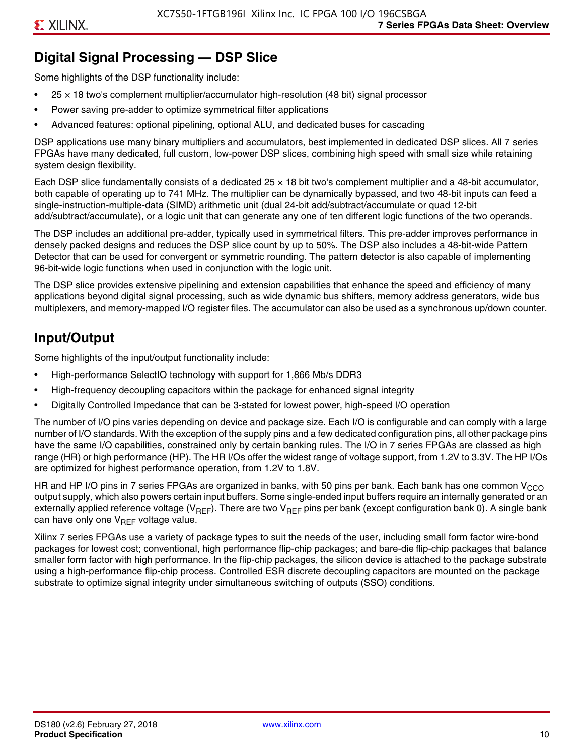# **Digital Signal Processing — DSP Slice**

Some highlights of the DSP functionality include:

- $25 \times 18$  two's complement multiplier/accumulator high-resolution (48 bit) signal processor
- Power saving pre-adder to optimize symmetrical filter applications
- Advanced features: optional pipelining, optional ALU, and dedicated buses for cascading

DSP applications use many binary multipliers and accumulators, best implemented in dedicated DSP slices. All 7 series FPGAs have many dedicated, full custom, low-power DSP slices, combining high speed with small size while retaining system design flexibility.

Each DSP slice fundamentally consists of a dedicated 25 × 18 bit two's complement multiplier and a 48-bit accumulator, both capable of operating up to 741 MHz. The multiplier can be dynamically bypassed, and two 48-bit inputs can feed a single-instruction-multiple-data (SIMD) arithmetic unit (dual 24-bit add/subtract/accumulate or quad 12-bit add/subtract/accumulate), or a logic unit that can generate any one of ten different logic functions of the two operands.

The DSP includes an additional pre-adder, typically used in symmetrical filters. This pre-adder improves performance in densely packed designs and reduces the DSP slice count by up to 50%. The DSP also includes a 48-bit-wide Pattern Detector that can be used for convergent or symmetric rounding. The pattern detector is also capable of implementing 96-bit-wide logic functions when used in conjunction with the logic unit.

The DSP slice provides extensive pipelining and extension capabilities that enhance the speed and efficiency of many applications beyond digital signal processing, such as wide dynamic bus shifters, memory address generators, wide bus multiplexers, and memory-mapped I/O register files. The accumulator can also be used as a synchronous up/down counter.

# **Input/Output**

Some highlights of the input/output functionality include:

- High-performance SelectIO technology with support for 1,866 Mb/s DDR3
- High-frequency decoupling capacitors within the package for enhanced signal integrity
- Digitally Controlled Impedance that can be 3-stated for lowest power, high-speed I/O operation

The number of I/O pins varies depending on device and package size. Each I/O is configurable and can comply with a large number of I/O standards. With the exception of the supply pins and a few dedicated configuration pins, all other package pins have the same I/O capabilities, constrained only by certain banking rules. The I/O in 7 series FPGAs are classed as high range (HR) or high performance (HP). The HR I/Os offer the widest range of voltage support, from 1.2V to 3.3V. The HP I/Os are optimized for highest performance operation, from 1.2V to 1.8V.

HR and HP I/O pins in 7 series FPGAs are organized in banks, with 50 pins per bank. Each bank has one common V<sub>CCO</sub> output supply, which also powers certain input buffers. Some single-ended input buffers require an internally generated or an externally applied reference voltage ( $V_{RFF}$ ). There are two  $V_{RFF}$  pins per bank (except configuration bank 0). A single bank can have only one  $V_{\text{RFF}}$  voltage value.

Xilinx 7 series FPGAs use a variety of package types to suit the needs of the user, including small form factor wire-bond packages for lowest cost; conventional, high performance flip-chip packages; and bare-die flip-chip packages that balance smaller form factor with high performance. In the flip-chip packages, the silicon device is attached to the package substrate using a high-performance flip-chip process. Controlled ESR discrete decoupling capacitors are mounted on the package substrate to optimize signal integrity under simultaneous switching of outputs (SSO) conditions.

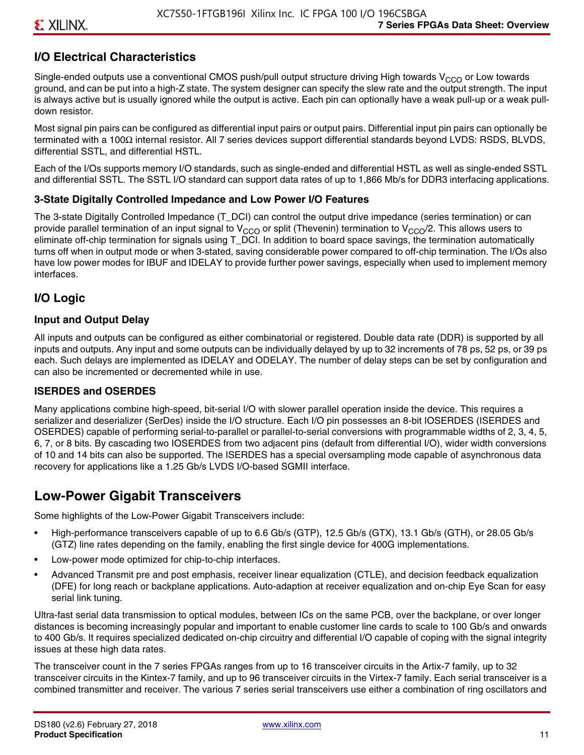# **I/O Electrical Characteristics**

Single-ended outputs use a conventional CMOS push/pull output structure driving High towards  $V_{CCO}$  or Low towards ground, and can be put into a high-Z state. The system designer can specify the slew rate and the output strength. The input is always active but is usually ignored while the output is active. Each pin can optionally have a weak pull-up or a weak pulldown resistor.

Most signal pin pairs can be configured as differential input pairs or output pairs. Differential input pin pairs can optionally be terminated with a 100Ω internal resistor. All 7 series devices support differential standards beyond LVDS: RSDS, BLVDS, differential SSTL, and differential HSTL.

Each of the I/Os supports memory I/O standards, such as single-ended and differential HSTL as well as single-ended SSTL and differential SSTL. The SSTL I/O standard can support data rates of up to 1,866 Mb/s for DDR3 interfacing applications.

#### **3-State Digitally Controlled Impedance and Low Power I/O Features**

The 3-state Digitally Controlled Impedance (T\_DCI) can control the output drive impedance (series termination) or can provide parallel termination of an input signal to V<sub>CCO</sub> or split (Thevenin) termination to V<sub>CCO</sub>/2. This allows users to eliminate off-chip termination for signals using T\_DCI. In addition to board space savings, the termination automatically turns off when in output mode or when 3-stated, saving considerable power compared to off-chip termination. The I/Os also have low power modes for IBUF and IDELAY to provide further power savings, especially when used to implement memory interfaces.

### **I/O Logic**

#### **Input and Output Delay**

All inputs and outputs can be configured as either combinatorial or registered. Double data rate (DDR) is supported by all inputs and outputs. Any input and some outputs can be individually delayed by up to 32 increments of 78 ps, 52 ps, or 39 ps each. Such delays are implemented as IDELAY and ODELAY. The number of delay steps can be set by configuration and can also be incremented or decremented while in use.

#### **ISERDES and OSERDES**

Many applications combine high-speed, bit-serial I/O with slower parallel operation inside the device. This requires a serializer and deserializer (SerDes) inside the I/O structure. Each I/O pin possesses an 8-bit IOSERDES (ISERDES and OSERDES) capable of performing serial-to-parallel or parallel-to-serial conversions with programmable widths of 2, 3, 4, 5, 6, 7, or 8 bits. By cascading two IOSERDES from two adjacent pins (default from differential I/O), wider width conversions of 10 and 14 bits can also be supported. The ISERDES has a special oversampling mode capable of asynchronous data recovery for applications like a 1.25 Gb/s LVDS I/O-based SGMII interface.

# **Low-Power Gigabit Transceivers**

Some highlights of the Low-Power Gigabit Transceivers include:

- High-performance transceivers capable of up to 6.6 Gb/s (GTP), 12.5 Gb/s (GTX), 13.1 Gb/s (GTH), or 28.05 Gb/s (GTZ) line rates depending on the family, enabling the first single device for 400G implementations.
- Low-power mode optimized for chip-to-chip interfaces.
- Advanced Transmit pre and post emphasis, receiver linear equalization (CTLE), and decision feedback equalization (DFE) for long reach or backplane applications. Auto-adaption at receiver equalization and on-chip Eye Scan for easy serial link tuning.

Ultra-fast serial data transmission to optical modules, between ICs on the same PCB, over the backplane, or over longer distances is becoming increasingly popular and important to enable customer line cards to scale to 100 Gb/s and onwards to 400 Gb/s. It requires specialized dedicated on-chip circuitry and differential I/O capable of coping with the signal integrity issues at these high data rates.

The transceiver count in the 7 series FPGAs ranges from up to 16 transceiver circuits in the Artix-7 family, up to 32 transceiver circuits in the Kintex-7 family, and up to 96 transceiver circuits in the Virtex-7 family. Each serial transceiver is a combined transmitter and receiver. The various 7 series serial transceivers use either a combination of ring oscillators and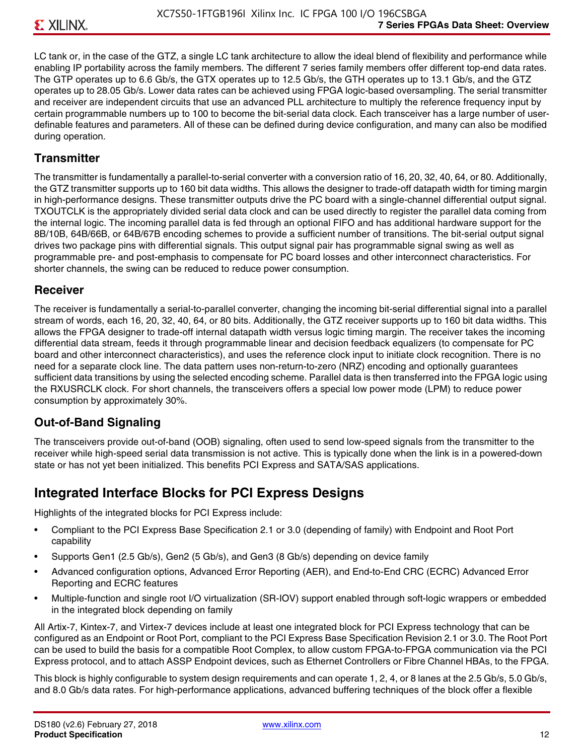LC tank or, in the case of the GTZ, a single LC tank architecture to allow the ideal blend of flexibility and performance while enabling IP portability across the family members. The different 7 series family members offer different top-end data rates. The GTP operates up to 6.6 Gb/s, the GTX operates up to 12.5 Gb/s, the GTH operates up to 13.1 Gb/s, and the GTZ operates up to 28.05 Gb/s. Lower data rates can be achieved using FPGA logic-based oversampling. The serial transmitter and receiver are independent circuits that use an advanced PLL architecture to multiply the reference frequency input by certain programmable numbers up to 100 to become the bit-serial data clock. Each transceiver has a large number of userdefinable features and parameters. All of these can be defined during device configuration, and many can also be modified during operation.

#### **Transmitter**

The transmitter is fundamentally a parallel-to-serial converter with a conversion ratio of 16, 20, 32, 40, 64, or 80. Additionally, the GTZ transmitter supports up to 160 bit data widths. This allows the designer to trade-off datapath width for timing margin in high-performance designs. These transmitter outputs drive the PC board with a single-channel differential output signal. TXOUTCLK is the appropriately divided serial data clock and can be used directly to register the parallel data coming from the internal logic. The incoming parallel data is fed through an optional FIFO and has additional hardware support for the 8B/10B, 64B/66B, or 64B/67B encoding schemes to provide a sufficient number of transitions. The bit-serial output signal drives two package pins with differential signals. This output signal pair has programmable signal swing as well as programmable pre- and post-emphasis to compensate for PC board losses and other interconnect characteristics. For shorter channels, the swing can be reduced to reduce power consumption.

#### **Receiver**

The receiver is fundamentally a serial-to-parallel converter, changing the incoming bit-serial differential signal into a parallel stream of words, each 16, 20, 32, 40, 64, or 80 bits. Additionally, the GTZ receiver supports up to 160 bit data widths. This allows the FPGA designer to trade-off internal datapath width versus logic timing margin. The receiver takes the incoming differential data stream, feeds it through programmable linear and decision feedback equalizers (to compensate for PC board and other interconnect characteristics), and uses the reference clock input to initiate clock recognition. There is no need for a separate clock line. The data pattern uses non-return-to-zero (NRZ) encoding and optionally guarantees sufficient data transitions by using the selected encoding scheme. Parallel data is then transferred into the FPGA logic using the RXUSRCLK clock. For short channels, the transceivers offers a special low power mode (LPM) to reduce power consumption by approximately 30%.

#### **Out-of-Band Signaling**

The transceivers provide out-of-band (OOB) signaling, often used to send low-speed signals from the transmitter to the receiver while high-speed serial data transmission is not active. This is typically done when the link is in a powered-down state or has not yet been initialized. This benefits PCI Express and SATA/SAS applications.

# **Integrated Interface Blocks for PCI Express Designs**

Highlights of the integrated blocks for PCI Express include:

- Compliant to the PCI Express Base Specification 2.1 or 3.0 (depending of family) with Endpoint and Root Port capability
- Supports Gen1 (2.5 Gb/s), Gen2 (5 Gb/s), and Gen3 (8 Gb/s) depending on device family
- Advanced configuration options, Advanced Error Reporting (AER), and End-to-End CRC (ECRC) Advanced Error Reporting and ECRC features
- Multiple-function and single root I/O virtualization (SR-IOV) support enabled through soft-logic wrappers or embedded in the integrated block depending on family

All Artix-7, Kintex-7, and Virtex-7 devices include at least one integrated block for PCI Express technology that can be configured as an Endpoint or Root Port, compliant to the PCI Express Base Specification Revision 2.1 or 3.0. The Root Port can be used to build the basis for a compatible Root Complex, to allow custom FPGA-to-FPGA communication via the PCI Express protocol, and to attach ASSP Endpoint devices, such as Ethernet Controllers or Fibre Channel HBAs, to the FPGA.

This block is highly configurable to system design requirements and can operate 1, 2, 4, or 8 lanes at the 2.5 Gb/s, 5.0 Gb/s, and 8.0 Gb/s data rates. For high-performance applications, advanced buffering techniques of the block offer a flexible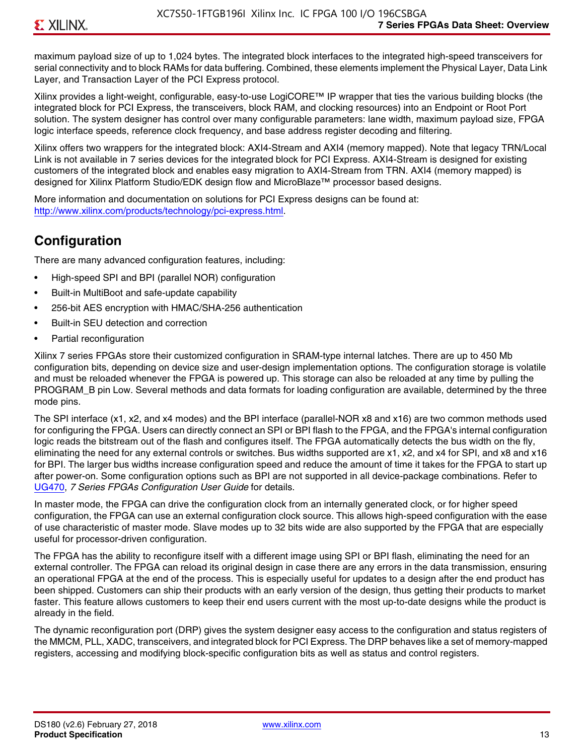maximum payload size of up to 1,024 bytes. The integrated block interfaces to the integrated high-speed transceivers for serial connectivity and to block RAMs for data buffering. Combined, these elements implement the Physical Layer, Data Link Layer, and Transaction Layer of the PCI Express protocol.

Xilinx provides a light-weight, configurable, easy-to-use LogiCORE™ IP wrapper that ties the various building blocks (the integrated block for PCI Express, the transceivers, block RAM, and clocking resources) into an Endpoint or Root Port solution. The system designer has control over many configurable parameters: lane width, maximum payload size, FPGA logic interface speeds, reference clock frequency, and base address register decoding and filtering.

Xilinx offers two wrappers for the integrated block: AXI4-Stream and AXI4 (memory mapped). Note that legacy TRN/Local Link is not available in 7 series devices for the integrated block for PCI Express. AXI4-Stream is designed for existing customers of the integrated block and enables easy migration to AXI4-Stream from TRN. AXI4 (memory mapped) is designed for Xilinx Platform Studio/EDK design flow and MicroBlaze™ processor based designs.

More information and documentation on solutions for PCI Express designs can be found at: <http://www.xilinx.com/products/technology/pci-express.html>.

# **Configuration**

There are many advanced configuration features, including:

- High-speed SPI and BPI (parallel NOR) configuration
- Built-in MultiBoot and safe-update capability
- 256-bit AES encryption with HMAC/SHA-256 authentication
- Built-in SEU detection and correction
- Partial reconfiguration

Xilinx 7 series FPGAs store their customized configuration in SRAM-type internal latches. There are up to 450 Mb configuration bits, depending on device size and user-design implementation options. The configuration storage is volatile and must be reloaded whenever the FPGA is powered up. This storage can also be reloaded at any time by pulling the PROGRAM B pin Low. Several methods and data formats for loading configuration are available, determined by the three mode pins.

The SPI interface (x1, x2, and x4 modes) and the BPI interface (parallel-NOR x8 and x16) are two common methods used for configuring the FPGA. Users can directly connect an SPI or BPI flash to the FPGA, and the FPGA's internal configuration logic reads the bitstream out of the flash and configures itself. The FPGA automatically detects the bus width on the fly, eliminating the need for any external controls or switches. Bus widths supported are x1, x2, and x4 for SPI, and x8 and x16 for BPI. The larger bus widths increase configuration speed and reduce the amount of time it takes for the FPGA to start up after power-on. Some configuration options such as BPI are not supported in all device-package combinations. Refer to [UG470,](http://www.xilinx.com/support/documentation/user_guides/ug470_7Series_Config.pdf) *7 Series FPGAs Configuration User Guide* for details.

In master mode, the FPGA can drive the configuration clock from an internally generated clock, or for higher speed configuration, the FPGA can use an external configuration clock source. This allows high-speed configuration with the ease of use characteristic of master mode. Slave modes up to 32 bits wide are also supported by the FPGA that are especially useful for processor-driven configuration.

The FPGA has the ability to reconfigure itself with a different image using SPI or BPI flash, eliminating the need for an external controller. The FPGA can reload its original design in case there are any errors in the data transmission, ensuring an operational FPGA at the end of the process. This is especially useful for updates to a design after the end product has been shipped. Customers can ship their products with an early version of the design, thus getting their products to market faster. This feature allows customers to keep their end users current with the most up-to-date designs while the product is already in the field.

The dynamic reconfiguration port (DRP) gives the system designer easy access to the configuration and status registers of the MMCM, PLL, XADC, transceivers, and integrated block for PCI Express. The DRP behaves like a set of memory-mapped registers, accessing and modifying block-specific configuration bits as well as status and control registers.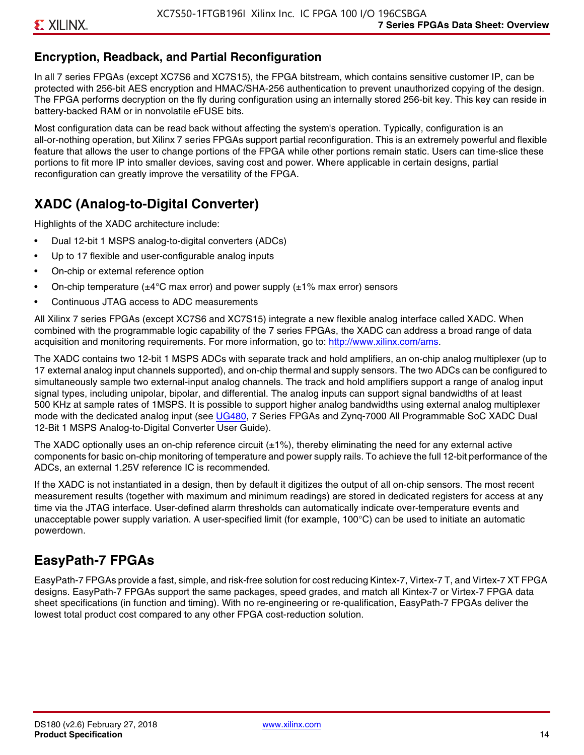# **Encryption, Readback, and Partial Reconfiguration**

In all 7 series FPGAs (except XC7S6 and XC7S15), the FPGA bitstream, which contains sensitive customer IP, can be protected with 256-bit AES encryption and HMAC/SHA-256 authentication to prevent unauthorized copying of the design. The FPGA performs decryption on the fly during configuration using an internally stored 256-bit key. This key can reside in battery-backed RAM or in nonvolatile eFUSE bits.

Most configuration data can be read back without affecting the system's operation. Typically, configuration is an all-or-nothing operation, but Xilinx 7 series FPGAs support partial reconfiguration. This is an extremely powerful and flexible feature that allows the user to change portions of the FPGA while other portions remain static. Users can time-slice these portions to fit more IP into smaller devices, saving cost and power. Where applicable in certain designs, partial reconfiguration can greatly improve the versatility of the FPGA.

# **XADC (Analog-to-Digital Converter)**

Highlights of the XADC architecture include:

- Dual 12-bit 1 MSPS analog-to-digital converters (ADCs)
- Up to 17 flexible and user-configurable analog inputs
- On-chip or external reference option
- On-chip temperature ( $\pm 4^{\circ}$ C max error) and power supply ( $\pm 1\%$  max error) sensors
- Continuous JTAG access to ADC measurements

All Xilinx 7 series FPGAs (except XC7S6 and XC7S15) integrate a new flexible analog interface called XADC. When combined with the programmable logic capability of the 7 series FPGAs, the XADC can address a broad range of data acquisition and monitoring requirements. For more information, go to: [http://www.xilinx.com/ams.](http://www.xilinx.com/ams)

The XADC contains two 12-bit 1 MSPS ADCs with separate track and hold amplifiers, an on-chip analog multiplexer (up to 17 external analog input channels supported), and on-chip thermal and supply sensors. The two ADCs can be configured to simultaneously sample two external-input analog channels. The track and hold amplifiers support a range of analog input signal types, including unipolar, bipolar, and differential. The analog inputs can support signal bandwidths of at least 500 KHz at sample rates of 1MSPS. It is possible to support higher analog bandwidths using external analog multiplexer mode with the dedicated analog input (see [UG480](http://www.xilinx.com/support/documentation/user_guides/ug480_7Series_XADC.pdf), 7 Series FPGAs and Zynq-7000 All Programmable SoC XADC Dual 12-Bit 1 MSPS Analog-to-Digital Converter User Guide)*.*

The XADC optionally uses an on-chip reference circuit  $(\pm 1\%)$ , thereby eliminating the need for any external active components for basic on-chip monitoring of temperature and power supply rails. To achieve the full 12-bit performance of the ADCs, an external 1.25V reference IC is recommended.

If the XADC is not instantiated in a design, then by default it digitizes the output of all on-chip sensors. The most recent measurement results (together with maximum and minimum readings) are stored in dedicated registers for access at any time via the JTAG interface. User-defined alarm thresholds can automatically indicate over-temperature events and unacceptable power supply variation. A user-specified limit (for example, 100°C) can be used to initiate an automatic powerdown.

# **EasyPath-7 FPGAs**

EasyPath-7 FPGAs provide a fast, simple, and risk-free solution for cost reducing Kintex-7, Virtex-7 T, and Virtex-7 XT FPGA designs. EasyPath-7 FPGAs support the same packages, speed grades, and match all Kintex-7 or Virtex-7 FPGA data sheet specifications (in function and timing). With no re-engineering or re-qualification, EasyPath-7 FPGAs deliver the lowest total product cost compared to any other FPGA cost-reduction solution.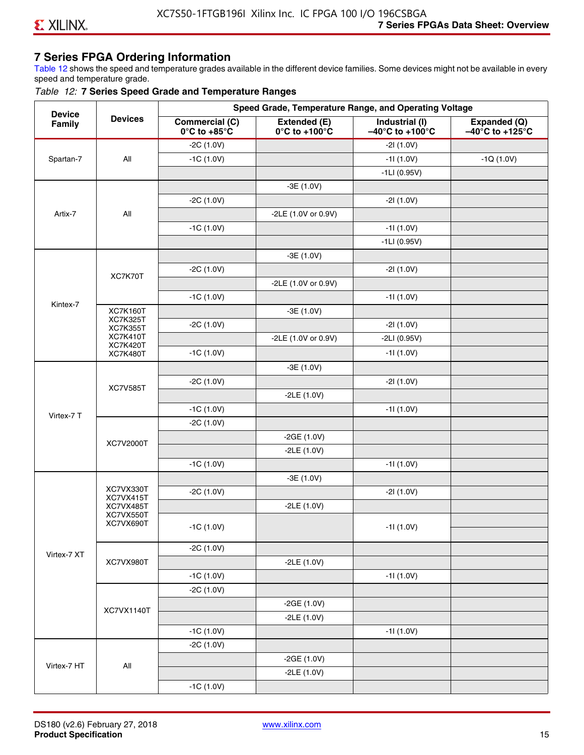# **7 Series FPGA Ordering Information**

Table 12 shows the speed and temperature grades available in the different device families. Some devices might not be available in every speed and temperature grade.

#### *Table 12:* **7 Series Speed Grade and Temperature Ranges**

| <b>Device</b> |                                    |                                                        |                                                    | Speed Grade, Temperature Range, and Operating Voltage  |                                                      |
|---------------|------------------------------------|--------------------------------------------------------|----------------------------------------------------|--------------------------------------------------------|------------------------------------------------------|
| Family        | <b>Devices</b>                     | <b>Commercial (C)</b><br>$0^\circ$ C to +85 $^\circ$ C | Extended (E)<br>$0^{\circ}$ C to +100 $^{\circ}$ C | Industrial (I)<br>$-40^{\circ}$ C to +100 $^{\circ}$ C | Expanded (Q)<br>$-40^{\circ}$ C to +125 $^{\circ}$ C |
|               |                                    | $-2C(1.0V)$                                            |                                                    | $-21(1.0V)$                                            |                                                      |
| Spartan-7     | All                                | $-1C(1.0V)$                                            |                                                    | $-11(1.0V)$                                            | $-1Q(1.0V)$                                          |
|               |                                    |                                                        |                                                    | $-1LI(0.95V)$                                          |                                                      |
|               |                                    |                                                        | $-3E(1.0V)$                                        |                                                        |                                                      |
|               |                                    | $-2C(1.0V)$                                            |                                                    | $-21(1.0V)$                                            |                                                      |
| Artix-7       | All                                |                                                        | -2LE (1.0V or 0.9V)                                |                                                        |                                                      |
|               |                                    | $-1C(1.0V)$                                            |                                                    | $-11(1.0V)$                                            |                                                      |
|               |                                    |                                                        |                                                    | $-1LI(0.95V)$                                          |                                                      |
|               |                                    |                                                        | $-3E(1.0V)$                                        |                                                        |                                                      |
|               |                                    | $-2C(1.0V)$                                            |                                                    | $-21(1.0V)$                                            |                                                      |
|               | XC7K70T                            |                                                        | -2LE (1.0V or 0.9V)                                |                                                        |                                                      |
|               |                                    | $-1C(1.0V)$                                            |                                                    | $-11(1.0V)$                                            |                                                      |
| Kintex-7      | <b>XC7K160T</b>                    |                                                        | $-3E(1.0V)$                                        |                                                        |                                                      |
|               | <b>XC7K325T</b><br><b>XC7K355T</b> | $-2C(1.0V)$                                            |                                                    | $-21(1.0V)$                                            |                                                      |
|               | <b>XC7K410T</b>                    |                                                        | -2LE (1.0V or 0.9V)                                | $-2LI(0.95V)$                                          |                                                      |
|               | <b>XC7K420T</b><br><b>XC7K480T</b> | $-1C(1.0V)$                                            |                                                    | $-11(1.0V)$                                            |                                                      |
|               |                                    |                                                        | $-3E(1.0V)$                                        |                                                        |                                                      |
|               |                                    | $-2C(1.0V)$                                            |                                                    | $-21(1.0V)$                                            |                                                      |
|               | <b>XC7V585T</b>                    |                                                        | $-2LE(1.0V)$                                       |                                                        |                                                      |
|               |                                    | $-1C(1.0V)$                                            |                                                    | $-11(1.0V)$                                            |                                                      |
| Virtex-7 T    |                                    | $-2C(1.0V)$                                            |                                                    |                                                        |                                                      |
|               |                                    |                                                        | $-2GE(1.0V)$                                       |                                                        |                                                      |
|               | XC7V2000T                          |                                                        | $-2LE(1.0V)$                                       |                                                        |                                                      |
|               |                                    | $-1C(1.0V)$                                            |                                                    | $-11(1.0V)$                                            |                                                      |
|               |                                    |                                                        | $-3E(1.0V)$                                        |                                                        |                                                      |
|               | XC7VX330T                          | $-2C(1.0V)$                                            |                                                    | $-21(1.0V)$                                            |                                                      |
|               | XC7VX415T<br>XC7VX485T             |                                                        | $-2LE(1.0V)$                                       |                                                        |                                                      |
|               | XC7VX550T<br>XC7VX690T             |                                                        |                                                    |                                                        |                                                      |
|               |                                    | $-1C(1.0V)$                                            |                                                    | -11 (1.0V)                                             |                                                      |
|               |                                    | $-2C(1.0V)$                                            |                                                    |                                                        |                                                      |
| Virtex-7 XT   | XC7VX980T                          |                                                        | $-2LE(1.0V)$                                       |                                                        |                                                      |
|               |                                    | $-1C(1.0V)$                                            |                                                    | $-11(1.0V)$                                            |                                                      |
|               |                                    | $-2C(1.0V)$                                            |                                                    |                                                        |                                                      |
|               |                                    |                                                        | $-2GE(1.0V)$                                       |                                                        |                                                      |
|               | XC7VX1140T                         |                                                        | $-2LE(1.0V)$                                       |                                                        |                                                      |
|               |                                    | $-1C(1.0V)$                                            |                                                    | $-11(1.0V)$                                            |                                                      |
|               |                                    | $-2C(1.0V)$                                            |                                                    |                                                        |                                                      |
|               |                                    |                                                        | $-2GE(1.0V)$                                       |                                                        |                                                      |
| Virtex-7 HT   | All                                |                                                        | $-2LE(1.0V)$                                       |                                                        |                                                      |
|               |                                    | $-1C(1.0V)$                                            |                                                    |                                                        |                                                      |
|               |                                    |                                                        |                                                    |                                                        |                                                      |

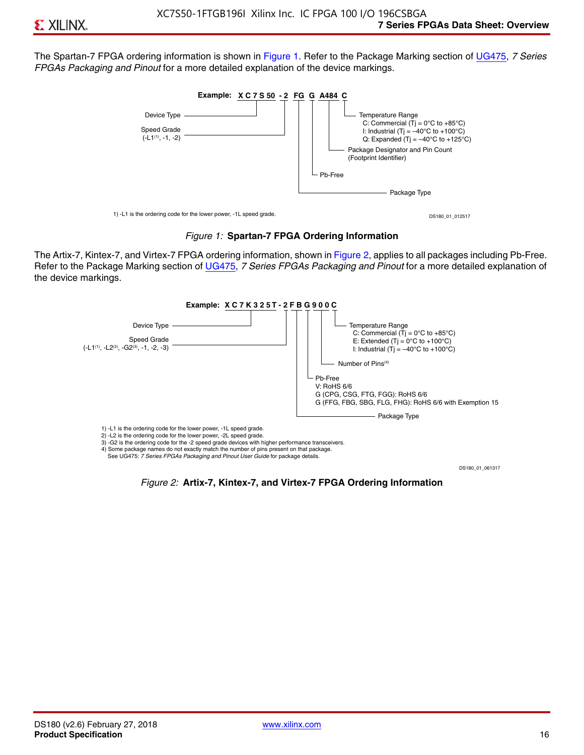The Spartan-7 FPGA ordering information is shown in Figure 1. Refer to the Package Marking section of [UG475,](http://www.xilinx.com/support/documentation/user_guides/ug475_7Series_Pkg_Pinout.pdf) *7 Series FPGAs Packaging and Pinout* for a more detailed explanation of the device markings.





The Artix-7, Kintex-7, and Virtex-7 FPGA ordering information, shown in Figure 2, applies to all packages including Pb-Free. Refer to the Package Marking section of [UG475](http://www.xilinx.com/support/documentation/user_guides/ug475_7Series_Pkg_Pinout.pdf), *7 Series FPGAs Packaging and Pinout* for a more detailed explanation of the device markings.



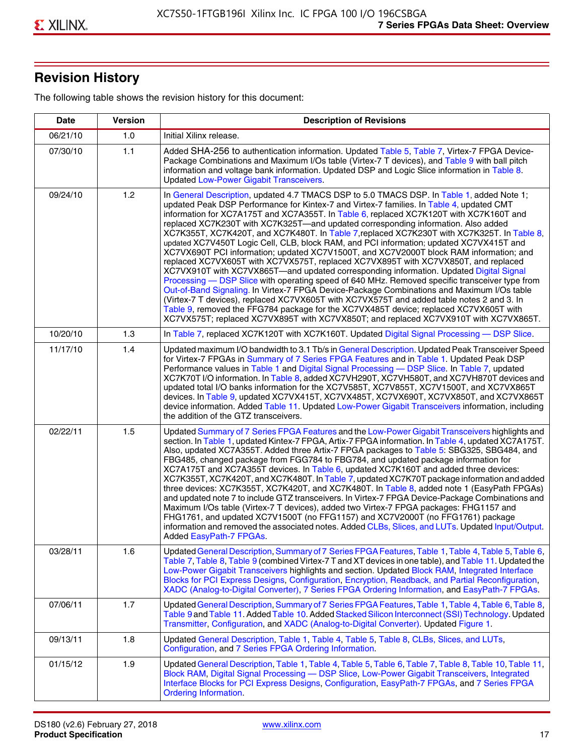# **Revision History**

The following table shows the revision history for this document:

| <b>Date</b> | <b>Version</b> | <b>Description of Revisions</b>                                                                                                                                                                                                                                                                                                                                                                                                                                                                                                                                                                                                                                                                                                                                                                                                                                                                                                                                                                                                                                                                                                                                                                                                                                                                                       |
|-------------|----------------|-----------------------------------------------------------------------------------------------------------------------------------------------------------------------------------------------------------------------------------------------------------------------------------------------------------------------------------------------------------------------------------------------------------------------------------------------------------------------------------------------------------------------------------------------------------------------------------------------------------------------------------------------------------------------------------------------------------------------------------------------------------------------------------------------------------------------------------------------------------------------------------------------------------------------------------------------------------------------------------------------------------------------------------------------------------------------------------------------------------------------------------------------------------------------------------------------------------------------------------------------------------------------------------------------------------------------|
| 06/21/10    | 1.0            | Initial Xilinx release.                                                                                                                                                                                                                                                                                                                                                                                                                                                                                                                                                                                                                                                                                                                                                                                                                                                                                                                                                                                                                                                                                                                                                                                                                                                                                               |
| 07/30/10    | 1.1            | Added SHA-256 to authentication information. Updated Table 5, Table 7, Virtex-7 FPGA Device-<br>Package Combinations and Maximum I/Os table (Virtex-7 T devices), and Table 9 with ball pitch<br>information and voltage bank information. Updated DSP and Logic Slice information in Table 8.<br><b>Updated Low-Power Gigabit Transceivers.</b>                                                                                                                                                                                                                                                                                                                                                                                                                                                                                                                                                                                                                                                                                                                                                                                                                                                                                                                                                                      |
| 09/24/10    | 1.2            | In General Description, updated 4.7 TMACS DSP to 5.0 TMACS DSP. In Table 1, added Note 1;<br>updated Peak DSP Performance for Kintex-7 and Virtex-7 families. In Table 4, updated CMT<br>information for XC7A175T and XC7A355T. In Table 6, replaced XC7K120T with XC7K160T and<br>replaced XC7K230T with XC7K325T-and updated corresponding information. Also added<br>XC7K355T, XC7K420T, and XC7K480T. In Table 7, replaced XC7K230T with XC7K325T. In Table 8,<br>updated XC7V450T Logic Cell, CLB, block RAM, and PCI information; updated XC7VX415T and<br>XC7VX690T PCI information; updated XC7V1500T, and XC7V2000T block RAM information; and<br>replaced XC7VX605T with XC7VX575T, replaced XC7VX895T with XC7VX850T, and replaced<br>XC7VX910T with XC7VX865T—and updated corresponding information. Updated Digital Signal<br>Processing - DSP Slice with operating speed of 640 MHz. Removed specific transceiver type from<br>Out-of-Band Signaling. In Virtex-7 FPGA Device-Package Combinations and Maximum I/Os table<br>(Virtex-7 T devices), replaced XC7VX605T with XC7VX575T and added table notes 2 and 3. In<br>Table 9, removed the FFG784 package for the XC7VX485T device; replaced XC7VX605T with<br>XC7VX575T; replaced XC7VX895T with XC7VX850T; and replaced XC7VX910T with XC7VX865T. |
| 10/20/10    | 1.3            | In Table 7, replaced XC7K120T with XC7K160T. Updated Digital Signal Processing - DSP Slice.                                                                                                                                                                                                                                                                                                                                                                                                                                                                                                                                                                                                                                                                                                                                                                                                                                                                                                                                                                                                                                                                                                                                                                                                                           |
| 11/17/10    | 1.4            | Updated maximum I/O bandwidth to 3.1 Tb/s in General Description. Updated Peak Transceiver Speed<br>for Virtex-7 FPGAs in Summary of 7 Series FPGA Features and in Table 1. Updated Peak DSP<br>Performance values in Table 1 and Digital Signal Processing - DSP Slice. In Table 7, updated<br>XC7K70T I/O information. In Table 8, added XC7VH290T, XC7VH580T, and XC7VH870T devices and<br>updated total I/O banks information for the XC7V585T, XC7V855T, XC7V1500T, and XC7VX865T<br>devices. In Table 9, updated XC7VX415T, XC7VX485T, XC7VX690T, XC7VX850T, and XC7VX865T<br>device information. Added Table 11. Updated Low-Power Gigabit Transceivers information, including<br>the addition of the GTZ transceivers.                                                                                                                                                                                                                                                                                                                                                                                                                                                                                                                                                                                        |
| 02/22/11    | 1.5            | Updated Summary of 7 Series FPGA Features and the Low-Power Gigabit Transceivers highlights and<br>section. In Table 1, updated Kintex-7 FPGA, Artix-7 FPGA information. In Table 4, updated XC7A175T.<br>Also, updated XC7A355T. Added three Artix-7 FPGA packages to Table 5: SBG325, SBG484, and<br>FBG485, changed package from FGG784 to FBG784, and updated package information for<br>XC7A175T and XC7A355T devices. In Table 6, updated XC7K160T and added three devices:<br>XC7K355T, XC7K420T, and XC7K480T. In Table 7, updated XC7K70T package information and added<br>three devices: XC7K355T, XC7K420T, and XC7K480T. In Table 8, added note 1 (EasyPath FPGAs)<br>and updated note 7 to include GTZ transceivers. In Virtex-7 FPGA Device-Package Combinations and<br>Maximum I/Os table (Virtex-7 T devices), added two Virtex-7 FPGA packages: FHG1157 and<br>FHG1761, and updated XC7V1500T (no FFG1157) and XC7V2000T (no FFG1761) package<br>information and removed the associated notes. Added CLBs, Slices, and LUTs. Updated Input/Output.<br>Added EasyPath-7 FPGAs.                                                                                                                                                                                                                        |
| 03/28/11    | 1.6            | Updated General Description, Summary of 7 Series FPGA Features, Table 1, Table 4, Table 5, Table 6,<br>Table 7, Table 8, Table 9 (combined Virtex-7 T and XT devices in one table), and Table 11. Updated the<br>Low-Power Gigabit Transceivers highlights and section. Updated Block RAM, Integrated Interface<br>Blocks for PCI Express Designs, Configuration, Encryption, Readback, and Partial Reconfiguration,<br>XADC (Analog-to-Digital Converter), 7 Series FPGA Ordering Information, and EasyPath-7 FPGAs.                                                                                                                                                                                                                                                                                                                                                                                                                                                                                                                                                                                                                                                                                                                                                                                                 |
| 07/06/11    | 1.7            | Updated General Description, Summary of 7 Series FPGA Features, Table 1, Table 4, Table 6, Table 8,<br>Table 9 and Table 11. Added Table 10. Added Stacked Silicon Interconnect (SSI) Technology. Updated<br>Transmitter, Configuration, and XADC (Analog-to-Digital Converter). Updated Figure 1.                                                                                                                                                                                                                                                                                                                                                                                                                                                                                                                                                                                                                                                                                                                                                                                                                                                                                                                                                                                                                    |
| 09/13/11    | 1.8            | Updated General Description, Table 1, Table 4, Table 5, Table 8, CLBs, Slices, and LUTs,<br>Configuration, and 7 Series FPGA Ordering Information.                                                                                                                                                                                                                                                                                                                                                                                                                                                                                                                                                                                                                                                                                                                                                                                                                                                                                                                                                                                                                                                                                                                                                                    |
| 01/15/12    | 1.9            | Updated General Description, Table 1, Table 4, Table 5, Table 6, Table 7, Table 8, Table 10, Table 11,<br>Block RAM, Digital Signal Processing - DSP Slice, Low-Power Gigabit Transceivers, Integrated<br>Interface Blocks for PCI Express Designs, Configuration, EasyPath-7 FPGAs, and 7 Series FPGA<br><b>Ordering Information.</b>                                                                                                                                                                                                                                                                                                                                                                                                                                                                                                                                                                                                                                                                                                                                                                                                                                                                                                                                                                                |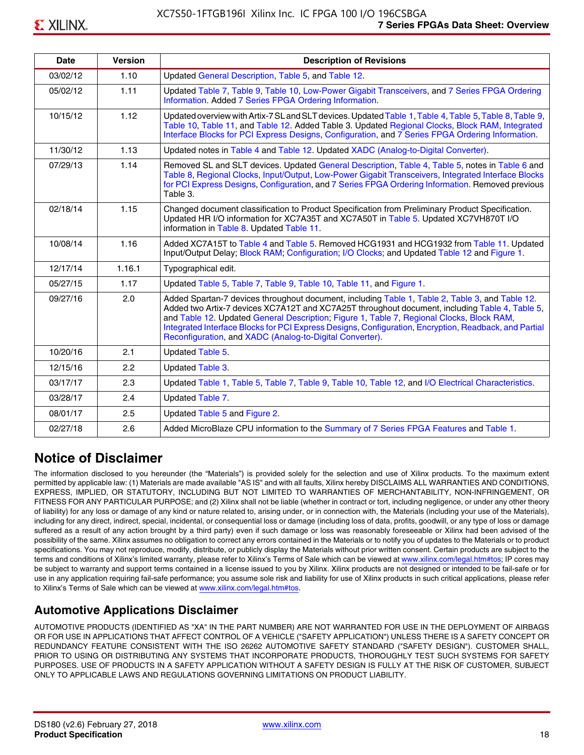| <b>Date</b> | <b>Version</b> | <b>Description of Revisions</b>                                                                                                                                                                                                                                                                                                                                                                                                                                     |
|-------------|----------------|---------------------------------------------------------------------------------------------------------------------------------------------------------------------------------------------------------------------------------------------------------------------------------------------------------------------------------------------------------------------------------------------------------------------------------------------------------------------|
| 03/02/12    | 1.10           | Updated General Description, Table 5, and Table 12.                                                                                                                                                                                                                                                                                                                                                                                                                 |
| 05/02/12    | 1.11           | Updated Table 7, Table 9, Table 10, Low-Power Gigabit Transceivers, and 7 Series FPGA Ordering<br>Information. Added 7 Series FPGA Ordering Information.                                                                                                                                                                                                                                                                                                            |
| 10/15/12    | 1.12           | Updated overview with Artix-7 SL and SLT devices. Updated Table 1, Table 4, Table 5, Table 8, Table 9,<br>Table 10, Table 11, and Table 12. Added Table 3. Updated Regional Clocks, Block RAM, Integrated<br>Interface Blocks for PCI Express Designs, Configuration, and 7 Series FPGA Ordering Information.                                                                                                                                                       |
| 11/30/12    | 1.13           | Updated notes in Table 4 and Table 12. Updated XADC (Analog-to-Digital Converter).                                                                                                                                                                                                                                                                                                                                                                                  |
| 07/29/13    | 1.14           | Removed SL and SLT devices. Updated General Description, Table 4, Table 5, notes in Table 6 and<br>Table 8, Regional Clocks, Input/Output, Low-Power Gigabit Transceivers, Integrated Interface Blocks<br>for PCI Express Designs, Configuration, and 7 Series FPGA Ordering Information. Removed previous<br>Table 3.                                                                                                                                              |
| 02/18/14    | 1.15           | Changed document classification to Product Specification from Preliminary Product Specification.<br>Updated HR I/O information for XC7A35T and XC7A50T in Table 5. Updated XC7VH870T I/O<br>information in Table 8. Updated Table 11.                                                                                                                                                                                                                               |
| 10/08/14    | 1.16           | Added XC7A15T to Table 4 and Table 5. Removed HCG1931 and HCG1932 from Table 11. Updated<br>Input/Output Delay; Block RAM; Configuration; I/O Clocks; and Updated Table 12 and Figure 1.                                                                                                                                                                                                                                                                            |
| 12/17/14    | 1.16.1         | Typographical edit.                                                                                                                                                                                                                                                                                                                                                                                                                                                 |
| 05/27/15    | 1.17           | Updated Table 5, Table 7, Table 9, Table 10, Table 11, and Figure 1.                                                                                                                                                                                                                                                                                                                                                                                                |
| 09/27/16    | 2.0            | Added Spartan-7 devices throughout document, including Table 1, Table 2, Table 3, and Table 12.<br>Added two Artix-7 devices XC7A12T and XC7A25T throughout document, including Table 4, Table 5,<br>and Table 12. Updated General Description; Figure 1, Table 7, Regional Clocks, Block RAM,<br>Integrated Interface Blocks for PCI Express Designs, Configuration, Encryption, Readback, and Partial<br>Reconfiguration, and XADC (Analog-to-Digital Converter). |
| 10/20/16    | 2.1            | Updated Table 5.                                                                                                                                                                                                                                                                                                                                                                                                                                                    |
| 12/15/16    | 2.2            | Updated Table 3.                                                                                                                                                                                                                                                                                                                                                                                                                                                    |
| 03/17/17    | 2.3            | Updated Table 1, Table 5, Table 7, Table 9, Table 10, Table 12, and I/O Electrical Characteristics.                                                                                                                                                                                                                                                                                                                                                                 |
| 03/28/17    | 2.4            | Updated Table 7.                                                                                                                                                                                                                                                                                                                                                                                                                                                    |
| 08/01/17    | 2.5            | Updated Table 5 and Figure 2.                                                                                                                                                                                                                                                                                                                                                                                                                                       |
| 02/27/18    | 2.6            | Added MicroBlaze CPU information to the Summary of 7 Series FPGA Features and Table 1.                                                                                                                                                                                                                                                                                                                                                                              |

# **Notice of Disclaimer**

The information disclosed to you hereunder (the "Materials") is provided solely for the selection and use of Xilinx products. To the maximum extent permitted by applicable law: (1) Materials are made available "AS IS" and with all faults, Xilinx hereby DISCLAIMS ALL WARRANTIES AND CONDITIONS, EXPRESS, IMPLIED, OR STATUTORY, INCLUDING BUT NOT LIMITED TO WARRANTIES OF MERCHANTABILITY, NON-INFRINGEMENT, OR FITNESS FOR ANY PARTICULAR PURPOSE; and (2) Xilinx shall not be liable (whether in contract or tort, including negligence, or under any other theory of liability) for any loss or damage of any kind or nature related to, arising under, or in connection with, the Materials (including your use of the Materials), including for any direct, indirect, special, incidental, or consequential loss or damage (including loss of data, profits, goodwill, or any type of loss or damage suffered as a result of any action brought by a third party) even if such damage or loss was reasonably foreseeable or Xilinx had been advised of the possibility of the same. Xilinx assumes no obligation to correct any errors contained in the Materials or to notify you of updates to the Materials or to product specifications. You may not reproduce, modify, distribute, or publicly display the Materials without prior written consent. Certain products are subject to the terms and conditions of Xilinx's limited warranty, please refer to Xilinx's Terms of Sale which can be viewed at [www.xilinx.com/legal.htm#tos;](www.xilinx.com/legal.htm#tos) IP cores may be subject to warranty and support terms contained in a license issued to you by Xilinx. Xilinx products are not designed or intended to be fail-safe or for use in any application requiring fail-safe performance; you assume sole risk and liability for use of Xilinx products in such critical applications, please refer to Xilinx's Terms of Sale which can be viewed at <www.xilinx.com/legal.htm#tos>.

# **Automotive Applications Disclaimer**

AUTOMOTIVE PRODUCTS (IDENTIFIED AS "XA" IN THE PART NUMBER) ARE NOT WARRANTED FOR USE IN THE DEPLOYMENT OF AIRBAGS OR FOR USE IN APPLICATIONS THAT AFFECT CONTROL OF A VEHICLE ("SAFETY APPLICATION") UNLESS THERE IS A SAFETY CONCEPT OR REDUNDANCY FEATURE CONSISTENT WITH THE ISO 26262 AUTOMOTIVE SAFETY STANDARD ("SAFETY DESIGN"). CUSTOMER SHALL, PRIOR TO USING OR DISTRIBUTING ANY SYSTEMS THAT INCORPORATE PRODUCTS, THOROUGHLY TEST SUCH SYSTEMS FOR SAFETY PURPOSES. USE OF PRODUCTS IN A SAFETY APPLICATION WITHOUT A SAFETY DESIGN IS FULLY AT THE RISK OF CUSTOMER, SUBJECT ONLY TO APPLICABLE LAWS AND REGULATIONS GOVERNING LIMITATIONS ON PRODUCT LIABILITY.